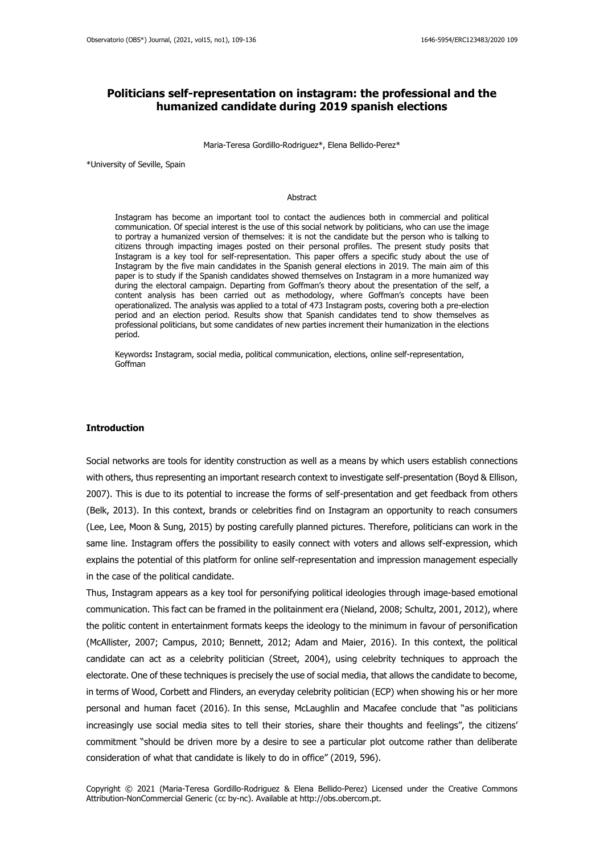# **Politicians self-representation on instagram: the professional and the humanized candidate during 2019 spanish elections**

Maria-Teresa Gordillo-Rodriguez\*, Elena Bellido-Perez\*

\*University of Seville, Spain

#### Abstract

Instagram has become an important tool to contact the audiences both in commercial and political communication. Of special interest is the use of this social network by politicians, who can use the image to portray a humanized version of themselves: it is not the candidate but the person who is talking to citizens through impacting images posted on their personal profiles. The present study posits that Instagram is a key tool for self-representation. This paper offers a specific study about the use of Instagram by the five main candidates in the Spanish general elections in 2019. The main aim of this paper is to study if the Spanish candidates showed themselves on Instagram in a more humanized way during the electoral campaign. Departing from Goffman's theory about the presentation of the self, a content analysis has been carried out as methodology, where Goffman's concepts have been operationalized. The analysis was applied to a total of 473 Instagram posts, covering both a pre-election period and an election period. Results show that Spanish candidates tend to show themselves as professional politicians, but some candidates of new parties increment their humanization in the elections period.

Keywords**:** Instagram, social media, political communication, elections, online self-representation, Goffman

### **Introduction**

Social networks are tools for identity construction as well as a means by which users establish connections with others, thus representing an important research context to investigate self-presentation (Boyd & Ellison, 2007). This is due to its potential to increase the forms of self-presentation and get feedback from others (Belk, 2013). In this context, brands or celebrities find on Instagram an opportunity to reach consumers (Lee, Lee, Moon & Sung, 2015) by posting carefully planned pictures. Therefore, politicians can work in the same line. Instagram offers the possibility to easily connect with voters and allows self-expression, which explains the potential of this platform for online self-representation and impression management especially in the case of the political candidate.

Thus, Instagram appears as a key tool for personifying political ideologies through image-based emotional communication. This fact can be framed in the politainment era (Nieland, 2008; Schultz, 2001, 2012), where the politic content in entertainment formats keeps the ideology to the minimum in favour of personification (McAllister, 2007; Campus, 2010; Bennett, 2012; Adam and Maier, 2016). In this context, the political candidate can act as a celebrity politician (Street, 2004), using celebrity techniques to approach the electorate. One of these techniques is precisely the use of social media, that allows the candidate to become, in terms of Wood, Corbett and Flinders, an everyday celebrity politician (ECP) when showing his or her more personal and human facet (2016). In this sense, McLaughlin and Macafee conclude that "as politicians increasingly use social media sites to tell their stories, share their thoughts and feelings", the citizens' commitment "should be driven more by a desire to see a particular plot outcome rather than deliberate consideration of what that candidate is likely to do in office" (2019, 596).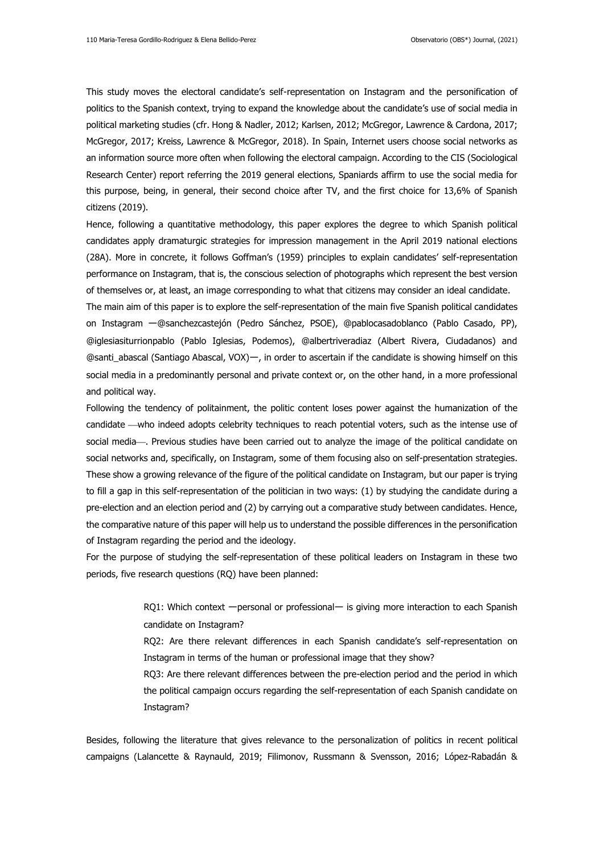This study moves the electoral candidate's self-representation on Instagram and the personification of politics to the Spanish context, trying to expand the knowledge about the candidate's use of social media in political marketing studies (cfr. Hong & Nadler, 2012; Karlsen, 2012; McGregor, Lawrence & Cardona, 2017; McGregor, 2017; Kreiss, Lawrence & McGregor, 2018). In Spain, Internet users choose social networks as an information source more often when following the electoral campaign. According to the CIS (Sociological Research Center) report referring the 2019 general elections, Spaniards affirm to use the social media for this purpose, being, in general, their second choice after TV, and the first choice for 13,6% of Spanish citizens (2019).

Hence, following a quantitative methodology, this paper explores the degree to which Spanish political candidates apply dramaturgic strategies for impression management in the April 2019 national elections (28A). More in concrete, it follows Goffman's (1959) principles to explain candidates' self-representation performance on Instagram, that is, the conscious selection of photographs which represent the best version of themselves or, at least, an image corresponding to what that citizens may consider an ideal candidate.

The main aim of this paper is to explore the self-representation of the main five Spanish political candidates on Instagram ー@sanchezcastejón (Pedro Sánchez, PSOE), @pablocasadoblanco (Pablo Casado, PP), @iglesiasiturrionpablo (Pablo Iglesias, Podemos), @albertriveradiaz (Albert Rivera, Ciudadanos) and @santi\_abascal (Santiago Abascal, VOX)ー, in order to ascertain if the candidate is showing himself on this social media in a predominantly personal and private context or, on the other hand, in a more professional and political way.

Following the tendency of politainment, the politic content loses power against the humanization of the candidate —who indeed adopts celebrity techniques to reach potential voters, such as the intense use of social media—. Previous studies have been carried out to analyze the image of the political candidate on social networks and, specifically, on Instagram, some of them focusing also on self-presentation strategies. These show a growing relevance of the figure of the political candidate on Instagram, but our paper is trying to fill a gap in this self-representation of the politician in two ways: (1) by studying the candidate during a pre-election and an election period and (2) by carrying out a comparative study between candidates. Hence, the comparative nature of this paper will help us to understand the possible differences in the personification of Instagram regarding the period and the ideology.

For the purpose of studying the self-representation of these political leaders on Instagram in these two periods, five research questions (RQ) have been planned:

> RQ1: Which context - personal or professional- is giving more interaction to each Spanish candidate on Instagram?

> RQ2: Are there relevant differences in each Spanish candidate's self-representation on Instagram in terms of the human or professional image that they show?

> RQ3: Are there relevant differences between the pre-election period and the period in which the political campaign occurs regarding the self-representation of each Spanish candidate on Instagram?

Besides, following the literature that gives relevance to the personalization of politics in recent political campaigns (Lalancette & Raynauld, 2019; Filimonov, Russmann & Svensson, 2016; López-Rabadán &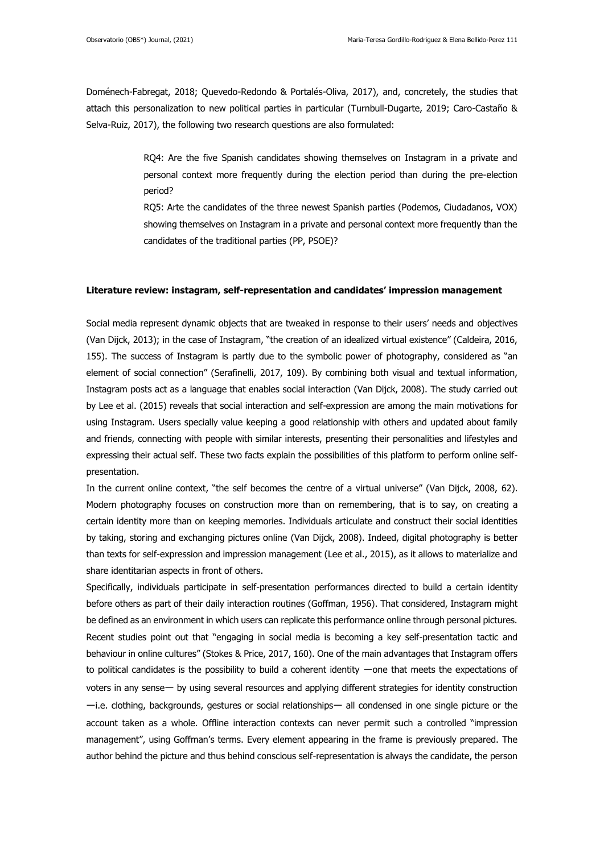Doménech-Fabregat, 2018; Quevedo-Redondo & Portalés-Oliva, 2017), and, concretely, the studies that attach this personalization to new political parties in particular (Turnbull-Dugarte, 2019; Caro-Castaño & Selva-Ruiz, 2017), the following two research questions are also formulated:

> RQ4: Are the five Spanish candidates showing themselves on Instagram in a private and personal context more frequently during the election period than during the pre-election period?

> RQ5: Arte the candidates of the three newest Spanish parties (Podemos, Ciudadanos, VOX) showing themselves on Instagram in a private and personal context more frequently than the candidates of the traditional parties (PP, PSOE)?

#### **Literature review: instagram, self-representation and candidates' impression management**

Social media represent dynamic objects that are tweaked in response to their users' needs and objectives (Van Dijck, 2013); in the case of Instagram, "the creation of an idealized virtual existence" (Caldeira, 2016, 155). The success of Instagram is partly due to the symbolic power of photography, considered as "an element of social connection" (Serafinelli, 2017, 109). By combining both visual and textual information, Instagram posts act as a language that enables social interaction (Van Dijck, 2008). The study carried out by Lee et al. (2015) reveals that social interaction and self-expression are among the main motivations for using Instagram. Users specially value keeping a good relationship with others and updated about family and friends, connecting with people with similar interests, presenting their personalities and lifestyles and expressing their actual self. These two facts explain the possibilities of this platform to perform online selfpresentation.

In the current online context, "the self becomes the centre of a virtual universe" (Van Dijck, 2008, 62). Modern photography focuses on construction more than on remembering, that is to say, on creating a certain identity more than on keeping memories. Individuals articulate and construct their social identities by taking, storing and exchanging pictures online (Van Dijck, 2008). Indeed, digital photography is better than texts for self-expression and impression management (Lee et al., 2015), as it allows to materialize and share identitarian aspects in front of others.

Specifically, individuals participate in self-presentation performances directed to build a certain identity before others as part of their daily interaction routines (Goffman, 1956). That considered, Instagram might be defined as an environment in which users can replicate this performance online through personal pictures. Recent studies point out that "engaging in social media is becoming a key self-presentation tactic and behaviour in online cultures" (Stokes & Price, 2017, 160). One of the main advantages that Instagram offers to political candidates is the possibility to build a coherent identity −one that meets the expectations of voters in any senseー by using several resources and applying different strategies for identity construction ーi.e. clothing, backgrounds, gestures or social relationshipsー all condensed in one single picture or the account taken as a whole. Offline interaction contexts can never permit such a controlled "impression management", using Goffman's terms. Every element appearing in the frame is previously prepared. The author behind the picture and thus behind conscious self-representation is always the candidate, the person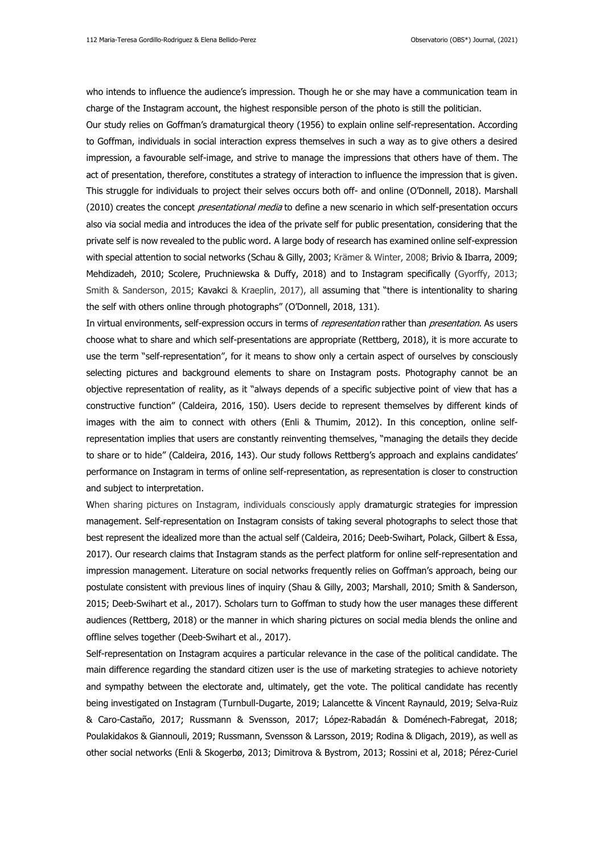who intends to influence the audience's impression. Though he or she may have a communication team in charge of the Instagram account, the highest responsible person of the photo is still the politician.

Our study relies on Goffman's dramaturgical theory (1956) to explain online self-representation. According to Goffman, individuals in social interaction express themselves in such a way as to give others a desired impression, a favourable self-image, and strive to manage the impressions that others have of them. The act of presentation, therefore, constitutes a strategy of interaction to influence the impression that is given. This struggle for individuals to project their selves occurs both off- and online (O'Donnell, 2018). Marshall (2010) creates the concept *presentational media* to define a new scenario in which self-presentation occurs also via social media and introduces the idea of the private self for public presentation, considering that the private self is now revealed to the public word. A large body of research has examined online self-expression with special attention to social networks (Schau & Gilly, 2003; Krämer & Winter, 2008; Brivio & Ibarra, 2009; Mehdizadeh, 2010; Scolere, Pruchniewska & Duffy, 2018) and to Instagram specifically (Gyorffy, 2013; Smith & Sanderson, 2015; Kavakci & Kraeplin, 2017), all assuming that "there is intentionality to sharing the self with others online through photographs" (O'Donnell, 2018, 131).

In virtual environments, self-expression occurs in terms of representation rather than presentation. As users choose what to share and which self-presentations are appropriate (Rettberg, 2018), it is more accurate to use the term "self-representation", for it means to show only a certain aspect of ourselves by consciously selecting pictures and background elements to share on Instagram posts. Photography cannot be an objective representation of reality, as it "always depends of a specific subjective point of view that has a constructive function" (Caldeira, 2016, 150). Users decide to represent themselves by different kinds of images with the aim to connect with others (Enli & Thumim, 2012). In this conception, online selfrepresentation implies that users are constantly reinventing themselves, "managing the details they decide to share or to hide" (Caldeira, 2016, 143). Our study follows Rettberg's approach and explains candidates' performance on Instagram in terms of online self-representation, as representation is closer to construction and subject to interpretation.

When sharing pictures on Instagram, individuals consciously apply dramaturgic strategies for impression management. Self-representation on Instagram consists of taking several photographs to select those that best represent the idealized more than the actual self (Caldeira, 2016; Deeb-Swihart, Polack[, Gilbert](https://www--scopus--com.us.debiblio.com/authid/detail.uri?origin=resultslist&authorId=15519161300&zone=) & Essa, 2017). Our research claims that Instagram stands as the perfect platform for online self-representation and impression management. Literature on social networks frequently relies on Goffman's approach, being our postulate consistent with previous lines of inquiry (Shau & Gilly, 2003; Marshall, 2010; Smith & Sanderson, 2015; Deeb-Swihart et al., 2017). Scholars turn to Goffman to study how the user manages these different audiences (Rettberg, 2018) or the manner in which sharing pictures on social media blends the online and offline selves together (Deeb-Swihart et al., 2017).

Self-representation on Instagram acquires a particular relevance in the case of the political candidate. The main difference regarding the standard citizen user is the use of marketing strategies to achieve notoriety and sympathy between the electorate and, ultimately, get the vote. The political candidate has recently being investigated on Instagram (Turnbull-Dugarte, 2019; Lalancette & Vincent Raynauld, 2019; Selva-Ruiz & Caro-Castaño, 2017; Russmann & Svensson, 2017; López-Rabadán & Doménech-Fabregat, 2018; Poulakidakos & Giannouli, 2019; Russmann, Svensson & Larsson, 2019; Rodina & Dligach, 2019), as well as other social networks (Enli & Skogerbø, 2013; Dimitrova & Bystrom, 2013; Rossini et al, 2018; Pérez-Curiel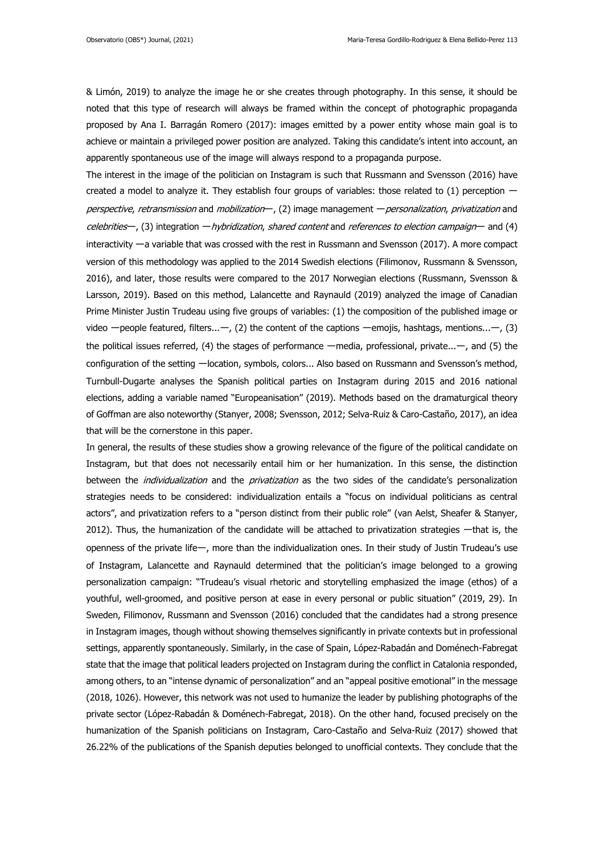& Limón, 2019) to analyze the image he or she creates through photography. In this sense, it should be noted that this type of research will always be framed within the concept of photographic propaganda proposed by Ana I. Barragán Romero (2017): images emitted by a power entity whose main goal is to achieve or maintain a privileged power position are analyzed. Taking this candidate's intent into account, an apparently spontaneous use of the image will always respond to a propaganda purpose.

The interest in the image of the politician on Instagram is such that Russmann and Svensson (2016) have created a model to analyze it. They establish four groups of variables: those related to (1) perception perspective, retransmission and mobilization—, (2) image management — personalization, privatization and celebrities—, (3) integration *— hybridization, shared content* and *references to election campaign*— and (4) interactivity ーa variable that was crossed with the rest in Russmann and Svensson (2017). A more compact version of this methodology was applied to the 2014 Swedish elections (Filimonov, Russmann & Svensson, 2016), and later, those results were compared to the 2017 Norwegian elections (Russmann, Svensson & Larsson, 2019). Based on this method, Lalancette and Raynauld (2019) analyzed the image of Canadian Prime Minister Justin Trudeau using five groups of variables: (1) the composition of the published image or video - people featured, filters... - , (2) the content of the captions - emojis, hashtags, mentions... - , (3) the political issues referred, (4) the stages of performance ーmedia, professional, private...ー, and (5) the configuration of the setting -location, symbols, colors... Also based on Russmann and Svensson's method, Turnbull-Dugarte analyses the Spanish political parties on Instagram during 2015 and 2016 national elections, adding a variable named "Europeanisation" (2019). Methods based on the dramaturgical theory of Goffman are also noteworthy (Stanyer, 2008; Svensson, 2012; Selva-Ruiz & Caro-Castaño, 2017), an idea that will be the cornerstone in this paper.

In general, the results of these studies show a growing relevance of the figure of the political candidate on Instagram, but that does not necessarily entail him or her humanization. In this sense, the distinction between the *individualization* and the *privatization* as the two sides of the candidate's personalization strategies needs to be considered: individualization entails a "focus on individual politicians as central actors", and privatization refers to a "person distinct from their public role" (van Aelst, Sheafer & Stanyer, 2012). Thus, the humanization of the candidate will be attached to privatization strategies ーthat is, the openness of the private lifeー, more than the individualization ones. In their study of Justin Trudeau's use of Instagram, Lalancette and Raynauld determined that the politician's image belonged to a growing personalization campaign: "Trudeau's visual rhetoric and storytelling emphasized the image (ethos) of a youthful, well-groomed, and positive person at ease in every personal or public situation" (2019, 29). In Sweden, Filimonov, Russmann and Svensson (2016) concluded that the candidates had a strong presence in Instagram images, though without showing themselves significantly in private contexts but in professional settings, apparently spontaneously. Similarly, in the case of Spain, López-Rabadán and Doménech-Fabregat state that the image that political leaders projected on Instagram during the conflict in Catalonia responded, among others, to an "intense dynamic of personalization" and an "appeal positive emotional" in the message (2018, 1026). However, this network was not used to humanize the leader by publishing photographs of the private sector (López-Rabadán & Doménech-Fabregat, 2018). On the other hand, focused precisely on the humanization of the Spanish politicians on Instagram, Caro-Castaño and Selva-Ruiz (2017) showed that 26.22% of the publications of the Spanish deputies belonged to unofficial contexts. They conclude that the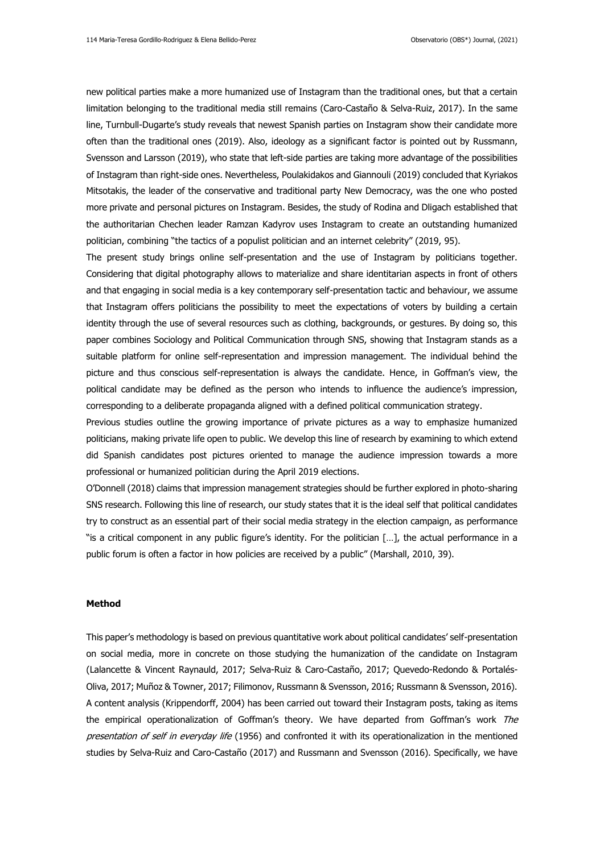new political parties make a more humanized use of Instagram than the traditional ones, but that a certain limitation belonging to the traditional media still remains (Caro-Castaño & Selva-Ruiz, 2017). In the same line, Turnbull-Dugarte's study reveals that newest Spanish parties on Instagram show their candidate more often than the traditional ones (2019). Also, ideology as a significant factor is pointed out by Russmann, Svensson and Larsson (2019), who state that left-side parties are taking more advantage of the possibilities of Instagram than right-side ones. Nevertheless, Poulakidakos and Giannouli (2019) concluded that Kyriakos Mitsotakis, the leader of the conservative and traditional party New Democracy, was the one who posted more private and personal pictures on Instagram. Besides, the study of Rodina and Dligach established that the authoritarian Chechen leader Ramzan Kadyrov uses Instagram to create an outstanding humanized politician, combining "the tactics of a populist politician and an internet celebrity" (2019, 95).

The present study brings online self-presentation and the use of Instagram by politicians together. Considering that digital photography allows to materialize and share identitarian aspects in front of others and that engaging in social media is a key contemporary self-presentation tactic and behaviour, we assume that Instagram offers politicians the possibility to meet the expectations of voters by building a certain identity through the use of several resources such as clothing, backgrounds, or gestures. By doing so, this paper combines Sociology and Political Communication through SNS, showing that Instagram stands as a suitable platform for online self-representation and impression management. The individual behind the picture and thus conscious self-representation is always the candidate. Hence, in Goffman's view, the political candidate may be defined as the person who intends to influence the audience's impression, corresponding to a deliberate propaganda aligned with a defined political communication strategy.

Previous studies outline the growing importance of private pictures as a way to emphasize humanized politicians, making private life open to public. We develop this line of research by examining to which extend did Spanish candidates post pictures oriented to manage the audience impression towards a more professional or humanized politician during the April 2019 elections.

O'Donnell (2018) claims that impression management strategies should be further explored in photo-sharing SNS research. Following this line of research, our study states that it is the ideal self that political candidates try to construct as an essential part of their social media strategy in the election campaign, as performance "is a critical component in any public figure's identity. For the politician […], the actual performance in a public forum is often a factor in how policies are received by a public" (Marshall, 2010, 39).

### **Method**

This paper's methodology is based on previous quantitative work about political candidates' self-presentation on social media, more in concrete on those studying the humanization of the candidate on Instagram (Lalancette & Vincent Raynauld, 2017; Selva-Ruiz & Caro-Castaño, 2017; Quevedo-Redondo & Portalés-Oliva, 2017; Muñoz & Towner, 2017; Filimonov, Russmann & Svensson, 2016; Russmann & Svensson, 2016). A content analysis (Krippendorff, 2004) has been carried out toward their Instagram posts, taking as items the empirical operationalization of Goffman's theory. We have departed from Goffman's work The presentation of self in everyday life (1956) and confronted it with its operationalization in the mentioned studies by Selva-Ruiz and Caro-Castaño (2017) and Russmann and Svensson (2016). Specifically, we have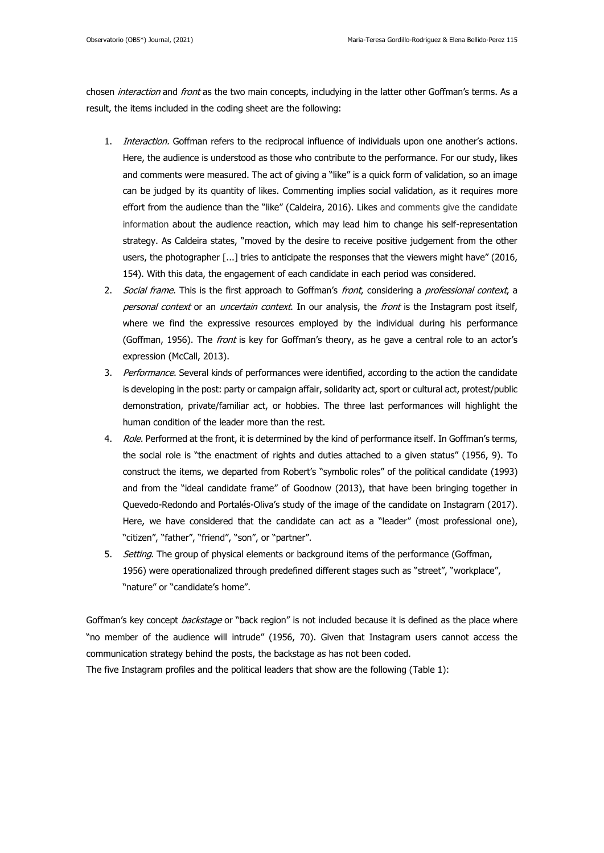chosen interaction and front as the two main concepts, includying in the latter other Goffman's terms. As a result, the items included in the coding sheet are the following:

- 1. *Interaction*. Goffman refers to the reciprocal influence of individuals upon one another's actions. Here, the audience is understood as those who contribute to the performance. For our study, likes and comments were measured. The act of giving a "like" is a quick form of validation, so an image can be judged by its quantity of likes. Commenting implies social validation, as it requires more effort from the audience than the "like" (Caldeira, 2016). Likes and comments give the candidate information about the audience reaction, which may lead him to change his self-representation strategy. As Caldeira states, "moved by the desire to receive positive judgement from the other users, the photographer [...] tries to anticipate the responses that the viewers might have" (2016, 154). With this data, the engagement of each candidate in each period was considered.
- 2. Social frame. This is the first approach to Goffman's front, considering a professional context, a personal context or an *uncertain context*. In our analysis, the *front* is the Instagram post itself, where we find the expressive resources employed by the individual during his performance (Goffman, 1956). The *front* is key for Goffman's theory, as he gave a central role to an actor's expression (McCall, 2013).
- 3. Performance. Several kinds of performances were identified, according to the action the candidate is developing in the post: party or campaign affair, solidarity act, sport or cultural act, protest/public demonstration, private/familiar act, or hobbies. The three last performances will highlight the human condition of the leader more than the rest.
- 4. Role. Performed at the front, it is determined by the kind of performance itself. In Goffman's terms, the social role is "the enactment of rights and duties attached to a given status" (1956, 9). To construct the items, we departed from Robert's "symbolic roles" of the political candidate (1993) and from the "ideal candidate frame" of Goodnow (2013), that have been bringing together in Quevedo-Redondo and Portalés-Oliva's study of the image of the candidate on Instagram (2017). Here, we have considered that the candidate can act as a "leader" (most professional one), "citizen", "father", "friend", "son", or "partner".
- 5. Setting. The group of physical elements or background items of the performance (Goffman, 1956) were operationalized through predefined different stages such as "street", "workplace", "nature" or "candidate's home".

Goffman's key concept *backstage* or "back region" is not included because it is defined as the place where "no member of the audience will intrude" (1956, 70). Given that Instagram users cannot access the communication strategy behind the posts, the backstage as has not been coded.

The five Instagram profiles and the political leaders that show are the following (Table 1):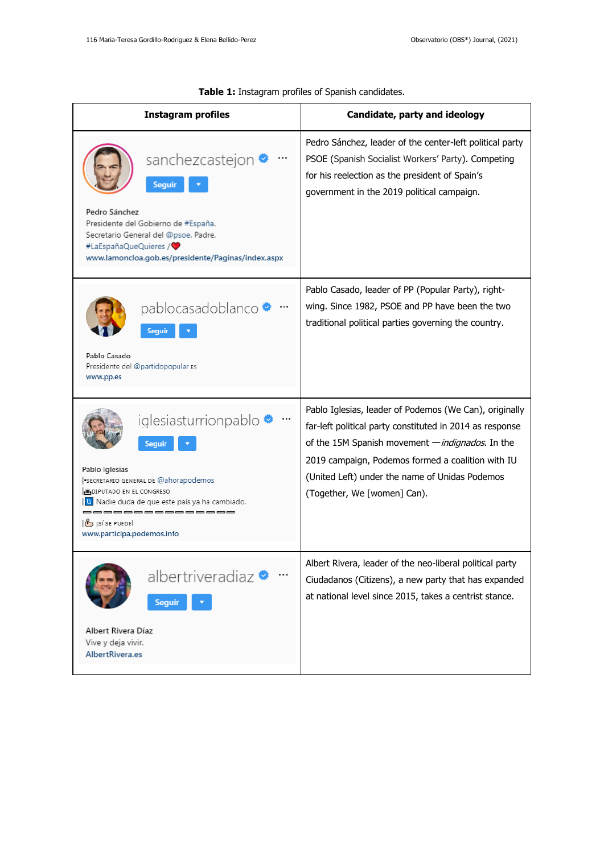| <b>Instagram profiles</b>                                                                                                                                                                                                                                          | Candidate, party and ideology                                                                                                                                                                                                                                                                                |
|--------------------------------------------------------------------------------------------------------------------------------------------------------------------------------------------------------------------------------------------------------------------|--------------------------------------------------------------------------------------------------------------------------------------------------------------------------------------------------------------------------------------------------------------------------------------------------------------|
| sanchezcastejon *<br><b>Seguir</b><br>Pedro Sánchez<br>Presidente del Gobierno de #España.<br>Secretario General del @psoe. Padre.<br>#LaEspañaQueQuieres /<br>www.lamoncloa.gob.es/presidente/Paginas/index.aspx                                                  | Pedro Sánchez, leader of the center-left political party<br>PSOE (Spanish Socialist Workers' Party). Competing<br>for his reelection as the president of Spain's<br>government in the 2019 political campaign.                                                                                               |
| pablocasadoblanco <sup>®</sup><br><b>Seguir</b><br>Pablo Casado<br>Presidente del @partidopopular Es<br>www.pp.es                                                                                                                                                  | Pablo Casado, leader of PP (Popular Party), right-<br>wing. Since 1982, PSOE and PP have been the two<br>traditional political parties governing the country.                                                                                                                                                |
| iglesiasturrionpablo •<br>Seguir<br>Pablo Iglesias<br>SECRETARIO GENERAL DE @ahorapodemos<br><b>MUDIPUTADO EN EL CONGRESO</b><br><b>1</b> Nadie duda de que este país ya ha cambiado.<br>____________<br>$\mathcal{B}$ isí se puede!<br>www.participa.podemos.info | Pablo Iglesias, leader of Podemos (We Can), originally<br>far-left political party constituted in 2014 as response<br>of the 15M Spanish movement - indignados. In the<br>2019 campaign, Podemos formed a coalition with IU<br>(United Left) under the name of Unidas Podemos<br>(Together, We [women] Can). |
| albertriveradiaz <sup>◆</sup><br><b>Seguir</b><br>Albert Rivera Díaz<br>Vive y deja vivir.<br>AlbertRivera.es                                                                                                                                                      | Albert Rivera, leader of the neo-liberal political party<br>Ciudadanos (Citizens), a new party that has expanded<br>at national level since 2015, takes a centrist stance.                                                                                                                                   |

| Table 1: Instagram profiles of Spanish candidates. |
|----------------------------------------------------|
|                                                    |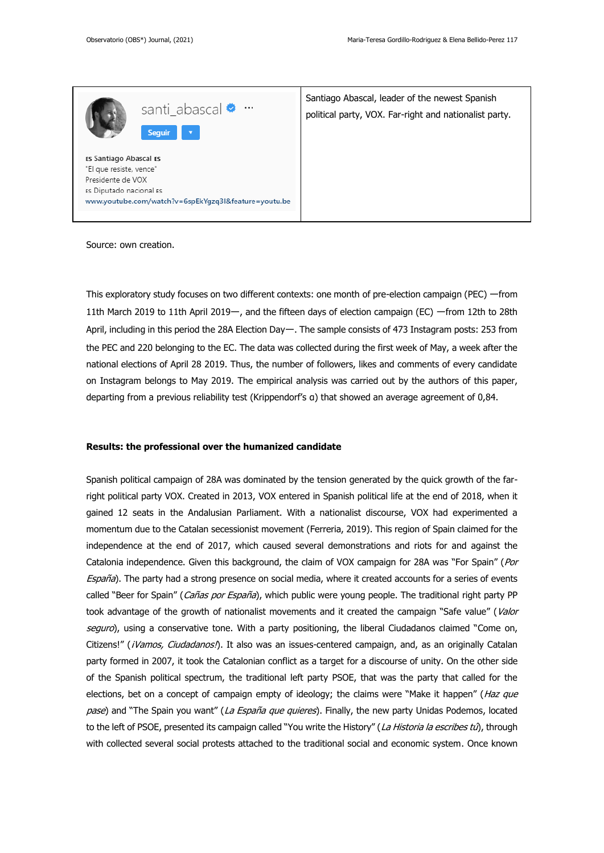

This exploratory study focuses on two different contexts: one month of pre-election campaign (PEC) ーfrom 11th March 2019 to 11th April 2019–, and the fifteen days of election campaign (EC) –from 12th to 28th April, including in this period the 28A Election Day—. The sample consists of 473 Instagram posts: 253 from the PEC and 220 belonging to the EC. The data was collected during the first week of May, a week after the national elections of April 28 2019. Thus, the number of followers, likes and comments of every candidate on Instagram belongs to May 2019. The empirical analysis was carried out by the authors of this paper, departing from a previous reliability test (Krippendorf's α) that showed an average agreement of 0,84.

### **Results: the professional over the humanized candidate**

Spanish political campaign of 28A was dominated by the tension generated by the quick growth of the farright political party VOX. Created in 2013, VOX entered in Spanish political life at the end of 2018, when it gained 12 seats in the Andalusian Parliament. With a nationalist discourse, VOX had experimented a momentum due to the Catalan secessionist movement (Ferreria, 2019). This region of Spain claimed for the independence at the end of 2017, which caused several demonstrations and riots for and against the Catalonia independence. Given this background, the claim of VOX campaign for 28A was "For Spain" (Por España). The party had a strong presence on social media, where it created accounts for a series of events called "Beer for Spain" (Cañas por España), which public were young people. The traditional right party PP took advantage of the growth of nationalist movements and it created the campaign "Safe value" (Valor seguro), using a conservative tone. With a party positioning, the liberal Ciudadanos claimed "Come on, Citizens!" (¡Vamos, Ciudadanos!). It also was an issues-centered campaign, and, as an originally Catalan party formed in 2007, it took the Catalonian conflict as a target for a discourse of unity. On the other side of the Spanish political spectrum, the traditional left party PSOE, that was the party that called for the elections, bet on a concept of campaign empty of ideology; the claims were "Make it happen" (Haz que pase) and "The Spain you want" (La España que quieres). Finally, the new party Unidas Podemos, located to the left of PSOE, presented its campaign called "You write the History" (La Historia la escribes tú), through with collected several social protests attached to the traditional social and economic system. Once known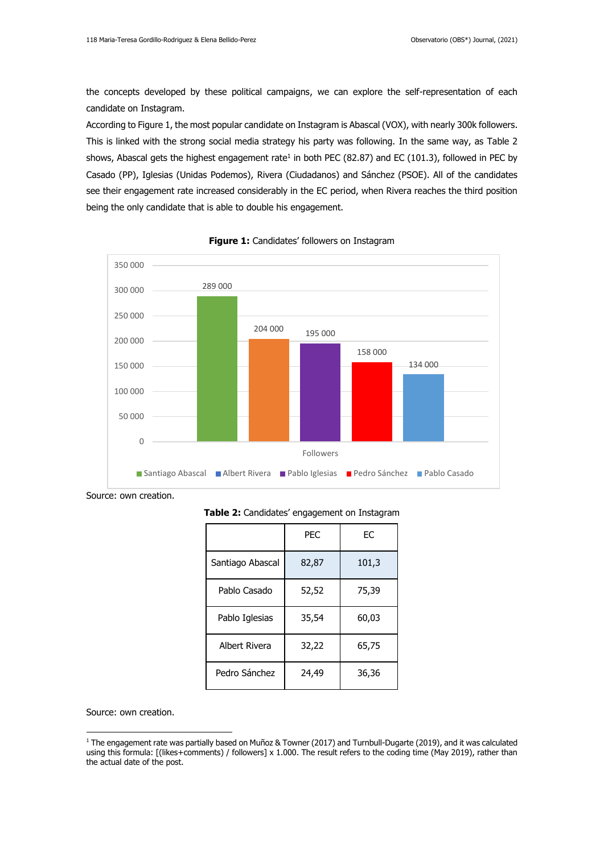the concepts developed by these political campaigns, we can explore the self-representation of each candidate on Instagram.

According to Figure 1, the most popular candidate on Instagram is Abascal (VOX), with nearly 300k followers. This is linked with the strong social media strategy his party was following. In the same way, as Table 2 shows, Abascal gets the highest engagement rate<sup>1</sup> in both PEC (82.87) and EC (101.3), followed in PEC by Casado (PP), Iglesias (Unidas Podemos), Rivera (Ciudadanos) and Sánchez (PSOE). All of the candidates see their engagement rate increased considerably in the EC period, when Rivera reaches the third position being the only candidate that is able to double his engagement.



### **Figure 1:** Candidates' followers on Instagram

Source: own creation.

**Table 2:** Candidates' engagement on Instagram

|                  | <b>PEC</b> | ЕC    |
|------------------|------------|-------|
| Santiago Abascal | 82,87      | 101,3 |
| Pablo Casado     | 52,52      | 75,39 |
| Pablo Iglesias   | 35,54      | 60,03 |
| Albert Rivera    | 32,22      | 65,75 |
| Pedro Sánchez    | 24,49      | 36,36 |

Source: own creation.

<sup>1</sup> The engagement rate was partially based on Muñoz & Towner (2017) and Turnbull-Dugarte (2019), and it was calculated using this formula: [(likes+comments) / followers] x 1.000. The result refers to the coding time (May 2019), rather than the actual date of the post.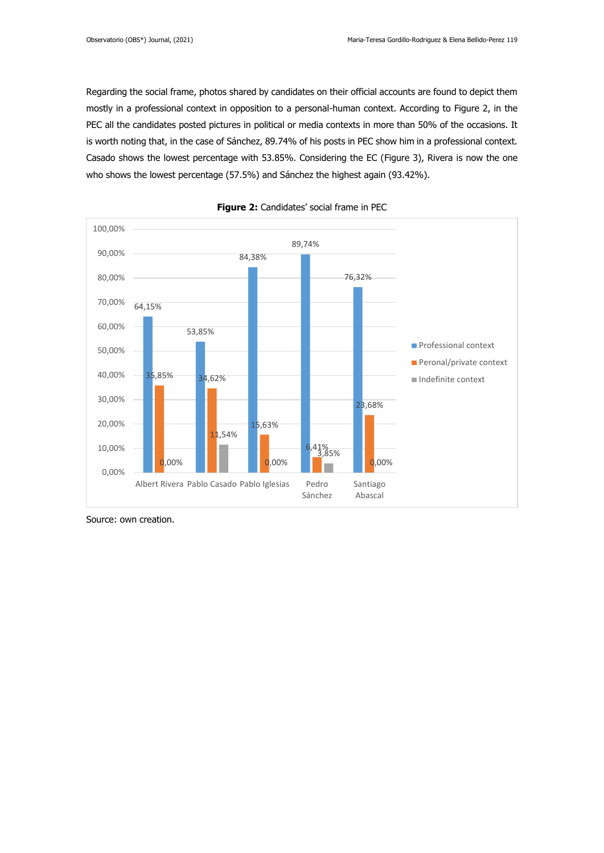Regarding the social frame, photos shared by candidates on their official accounts are found to depict them mostly in a professional context in opposition to a personal-human context. According to Figure 2, in the PEC all the candidates posted pictures in political or media contexts in more than 50% of the occasions. It is worth noting that, in the case of Sánchez, 89.74% of his posts in PEC show him in a professional context. Casado shows the lowest percentage with 53.85%. Considering the EC (Figure 3), Rivera is now the one who shows the lowest percentage (57.5%) and Sánchez the highest again (93.42%).





Source: own creation.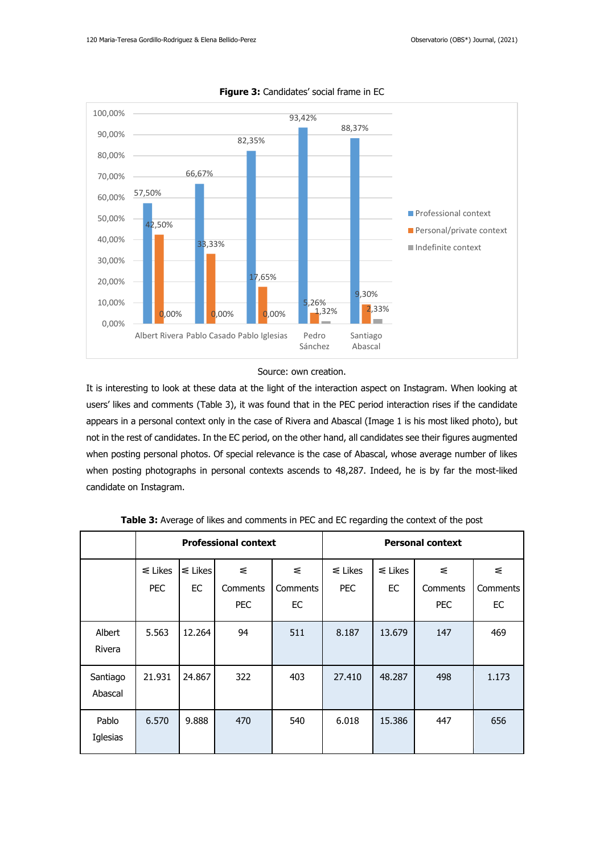

#### **Figure 3:** Candidates' social frame in EC

### Source: own creation.

It is interesting to look at these data at the light of the interaction aspect on Instagram. When looking at users' likes and comments (Table 3), it was found that in the PEC period interaction rises if the candidate appears in a personal context only in the case of Rivera and Abascal (Image 1 is his most liked photo), but not in the rest of candidates. In the EC period, on the other hand, all candidates see their figures augmented when posting personal photos. Of special relevance is the case of Abascal, whose average number of likes when posting photographs in personal contexts ascends to 48,287. Indeed, he is by far the most-liked candidate on Instagram.

|                     |                      |                    | <b>Professional context</b> |                     | <b>Personal context</b>    |                    |                             |                     |
|---------------------|----------------------|--------------------|-----------------------------|---------------------|----------------------------|--------------------|-----------------------------|---------------------|
|                     | $\leq$ Likes<br>PEC. | $\leq$ Likes<br>EC | ≤<br>Comments<br><b>PEC</b> | ₹<br>Comments<br>EC | $\leq$ Likes<br><b>PEC</b> | $\leq$ Likes<br>EC | ₹<br>Comments<br><b>PEC</b> | ₹<br>Comments<br>EC |
| Albert<br>Rivera    | 5.563                | 12.264             | 94                          | 511                 | 8.187                      | 13.679             | 147                         | 469                 |
| Santiago<br>Abascal | 21.931               | 24.867             | 322                         | 403                 | 27.410                     | 48.287             | 498                         | 1.173               |
| Pablo<br>Iglesias   | 6.570                | 9.888              | 470                         | 540                 | 6.018                      | 15,386             | 447                         | 656                 |

**Table 3:** Average of likes and comments in PEC and EC regarding the context of the post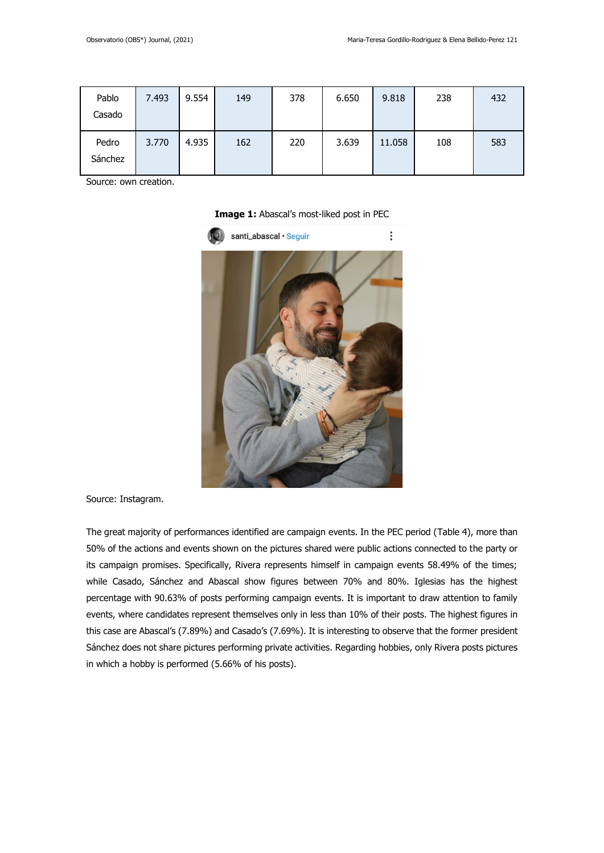| Pablo<br>Casado  | 7.493 | 9.554 | 149 | 378 | 6.650 | 9.818  | 238 | 432 |
|------------------|-------|-------|-----|-----|-------|--------|-----|-----|
| Pedro<br>Sánchez | 3.770 | 4.935 | 162 | 220 | 3.639 | 11.058 | 108 | 583 |

**Image 1:** Abascal's most-liked post in PEC



Source: Instagram.

The great majority of performances identified are campaign events. In the PEC period (Table 4), more than 50% of the actions and events shown on the pictures shared were public actions connected to the party or its campaign promises. Specifically, Rivera represents himself in campaign events 58.49% of the times; while Casado, Sánchez and Abascal show figures between 70% and 80%. Iglesias has the highest percentage with 90.63% of posts performing campaign events. It is important to draw attention to family events, where candidates represent themselves only in less than 10% of their posts. The highest figures in this case are Abascal's (7.89%) and Casado's (7.69%). It is interesting to observe that the former president Sánchez does not share pictures performing private activities. Regarding hobbies, only Rivera posts pictures in which a hobby is performed (5.66% of his posts).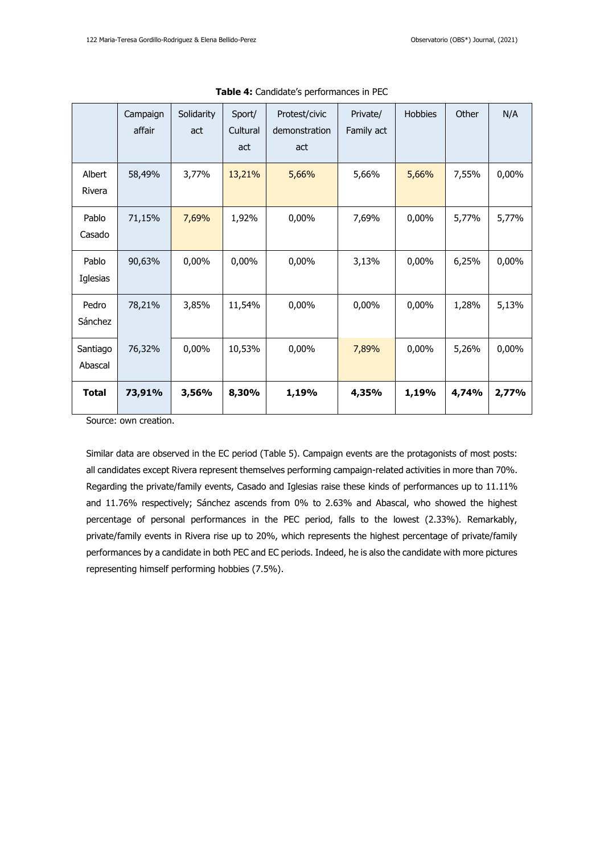|                     | Campaign<br>affair | Solidarity<br>act | Sport/<br>Cultural<br>act | Protest/civic<br>demonstration<br>act | Private/<br>Family act | <b>Hobbies</b> | Other | N/A   |
|---------------------|--------------------|-------------------|---------------------------|---------------------------------------|------------------------|----------------|-------|-------|
| Albert<br>Rivera    | 58,49%             | 3,77%             | 13,21%                    | 5,66%                                 | 5,66%                  | 5,66%          | 7,55% | 0,00% |
| Pablo<br>Casado     | 71,15%             | 7,69%             | 1,92%                     | 0,00%                                 | 7,69%                  | 0,00%          | 5,77% | 5,77% |
| Pablo<br>Iglesias   | 90,63%             | 0,00%             | 0,00%                     | 0,00%                                 | 3,13%                  | 0,00%          | 6,25% | 0,00% |
| Pedro<br>Sánchez    | 78,21%             | 3,85%             | 11,54%                    | 0,00%                                 | 0,00%                  | 0,00%          | 1,28% | 5,13% |
| Santiago<br>Abascal | 76,32%             | $0,00\%$          | 10,53%                    | 0,00%                                 | 7,89%                  | 0,00%          | 5,26% | 0,00% |
| <b>Total</b>        | 73,91%             | 3,56%             | 8,30%                     | 1,19%                                 | 4,35%                  | 1,19%          | 4,74% | 2,77% |

**Table 4:** Candidate's performances in PEC

Similar data are observed in the EC period (Table 5). Campaign events are the protagonists of most posts: all candidates except Rivera represent themselves performing campaign-related activities in more than 70%. Regarding the private/family events, Casado and Iglesias raise these kinds of performances up to 11.11% and 11.76% respectively; Sánchez ascends from 0% to 2.63% and Abascal, who showed the highest percentage of personal performances in the PEC period, falls to the lowest (2.33%). Remarkably, private/family events in Rivera rise up to 20%, which represents the highest percentage of private/family performances by a candidate in both PEC and EC periods. Indeed, he is also the candidate with more pictures representing himself performing hobbies (7.5%).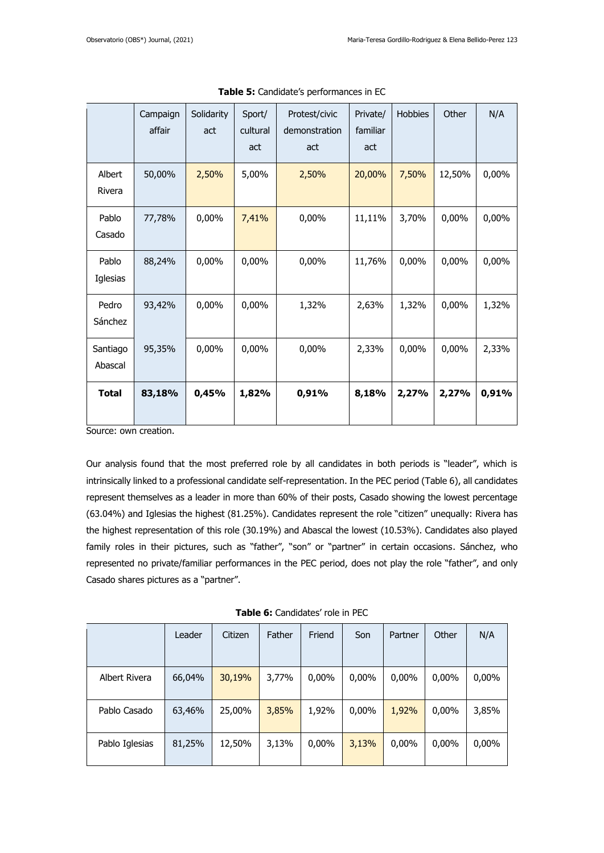|                     | Campaign<br>affair | Solidarity<br>act | Sport/<br>cultural<br>act | Protest/civic<br>demonstration<br>act | Private/<br>familiar<br>act | Hobbies | Other  | N/A   |
|---------------------|--------------------|-------------------|---------------------------|---------------------------------------|-----------------------------|---------|--------|-------|
| Albert<br>Rivera    | 50,00%             | 2,50%             | 5,00%                     | 2,50%                                 | 20,00%                      | 7,50%   | 12,50% | 0,00% |
| Pablo<br>Casado     | 77,78%             | 0,00%             | 7,41%                     | 0,00%                                 | 11,11%                      | 3,70%   | 0,00%  | 0,00% |
| Pablo<br>Iglesias   | 88,24%             | 0,00%             | 0,00%                     | 0,00%                                 | 11,76%                      | 0,00%   | 0,00%  | 0,00% |
| Pedro<br>Sánchez    | 93,42%             | 0,00%             | 0,00%                     | 1,32%                                 | 2,63%                       | 1,32%   | 0,00%  | 1,32% |
| Santiago<br>Abascal | 95,35%             | 0,00%             | 0,00%                     | 0,00%                                 | 2,33%                       | 0,00%   | 0,00%  | 2,33% |
| <b>Total</b>        | 83,18%             | 0,45%             | 1,82%                     | 0,91%                                 | 8,18%                       | 2,27%   | 2,27%  | 0,91% |

|  |  | Table 5: Candidate's performances in EC |  |  |
|--|--|-----------------------------------------|--|--|
|--|--|-----------------------------------------|--|--|

Our analysis found that the most preferred role by all candidates in both periods is "leader", which is intrinsically linked to a professional candidate self-representation. In the PEC period (Table 6), all candidates represent themselves as a leader in more than 60% of their posts, Casado showing the lowest percentage (63.04%) and Iglesias the highest (81.25%). Candidates represent the role "citizen" unequally: Rivera has the highest representation of this role (30.19%) and Abascal the lowest (10.53%). Candidates also played family roles in their pictures, such as "father", "son" or "partner" in certain occasions. Sánchez, who represented no private/familiar performances in the PEC period, does not play the role "father", and only Casado shares pictures as a "partner".

|  |  |  | Table 6: Candidates' role in PEC |  |  |  |
|--|--|--|----------------------------------|--|--|--|
|--|--|--|----------------------------------|--|--|--|

|                | Leader | Citizen | Father | Friend | Son   | Partner | Other | N/A      |
|----------------|--------|---------|--------|--------|-------|---------|-------|----------|
|                |        |         |        |        |       |         |       |          |
| Albert Rivera  | 66,04% | 30,19%  | 3,77%  | 0,00%  | 0,00% | 0,00%   | 0,00% | $0,00\%$ |
|                |        |         |        |        |       |         |       |          |
| Pablo Casado   | 63,46% | 25,00%  | 3,85%  | 1,92%  | 0,00% | 1,92%   | 0,00% | 3,85%    |
|                |        |         |        |        |       |         |       |          |
| Pablo Iglesias | 81,25% | 12,50%  | 3,13%  | 0,00%  | 3,13% | 0,00%   | 0,00% | 0,00%    |
|                |        |         |        |        |       |         |       |          |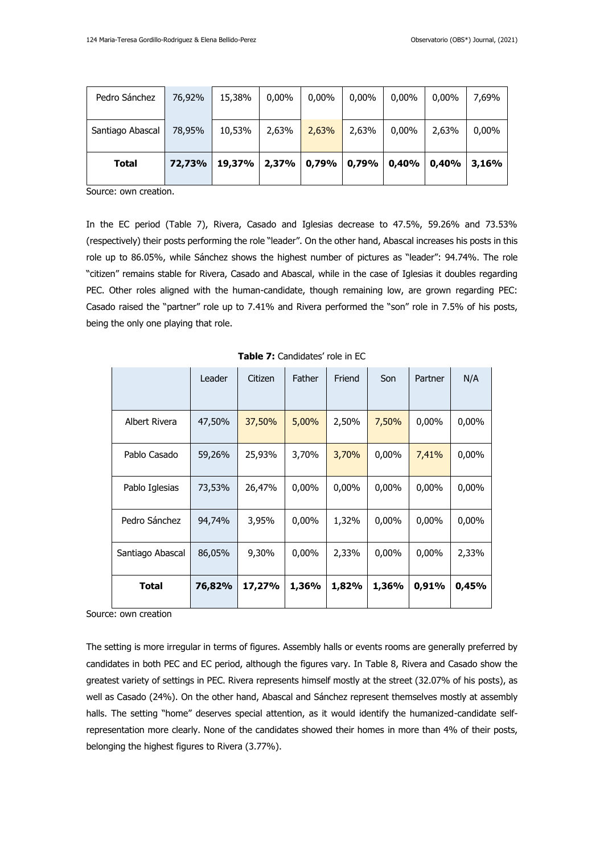| Pedro Sánchez    | 76,92% | 15,38% | $0.00\%$ | $0.00\%$                | $0.00\%$ | $0.00\%$ | $0.00\%$ | 7.69% |
|------------------|--------|--------|----------|-------------------------|----------|----------|----------|-------|
| Santiago Abascal | 78,95% | 10,53% | 2,63%    | 2,63%                   | 2,63%    | 0,00%    | 2,63%    | 0,00% |
| <b>Total</b>     | 72,73% | 19,37% |          | $ 2,37\% 0,79\% 0,79\%$ |          | 0,40%    | 0.40%    | 3.16% |

In the EC period (Table 7), Rivera, Casado and Iglesias decrease to 47.5%, 59.26% and 73.53% (respectively) their posts performing the role "leader". On the other hand, Abascal increases his posts in this role up to 86.05%, while Sánchez shows the highest number of pictures as "leader": 94.74%. The role "citizen" remains stable for Rivera, Casado and Abascal, while in the case of Iglesias it doubles regarding PEC. Other roles aligned with the human-candidate, though remaining low, are grown regarding PEC: Casado raised the "partner" role up to 7.41% and Rivera performed the "son" role in 7.5% of his posts, being the only one playing that role.

|                  | Leader | Citizen | Father   | Friend   | Son      | Partner  | N/A      |
|------------------|--------|---------|----------|----------|----------|----------|----------|
| Albert Rivera    | 47,50% | 37,50%  | 5,00%    | 2,50%    | 7,50%    | $0,00\%$ | 0,00%    |
| Pablo Casado     | 59,26% | 25,93%  | 3,70%    | 3,70%    | $0,00\%$ | 7,41%    | $0,00\%$ |
| Pablo Iglesias   | 73,53% | 26,47%  | $0,00\%$ | $0,00\%$ | $0,00\%$ | $0,00\%$ | $0,00\%$ |
| Pedro Sánchez    | 94,74% | 3,95%   | $0,00\%$ | 1,32%    | $0,00\%$ | $0,00\%$ | $0,00\%$ |
| Santiago Abascal | 86,05% | 9,30%   | $0,00\%$ | 2,33%    | $0,00\%$ | $0,00\%$ | 2,33%    |
| Total            | 76,82% | 17,27%  | 1,36%    | 1,82%    | 1,36%    | 0,91%    | 0,45%    |

**Table 7:** Candidates' role in EC

Source: own creation

The setting is more irregular in terms of figures. Assembly halls or events rooms are generally preferred by candidates in both PEC and EC period, although the figures vary. In Table 8, Rivera and Casado show the greatest variety of settings in PEC. Rivera represents himself mostly at the street (32.07% of his posts), as well as Casado (24%). On the other hand, Abascal and Sánchez represent themselves mostly at assembly halls. The setting "home" deserves special attention, as it would identify the humanized-candidate selfrepresentation more clearly. None of the candidates showed their homes in more than 4% of their posts, belonging the highest figures to Rivera (3.77%).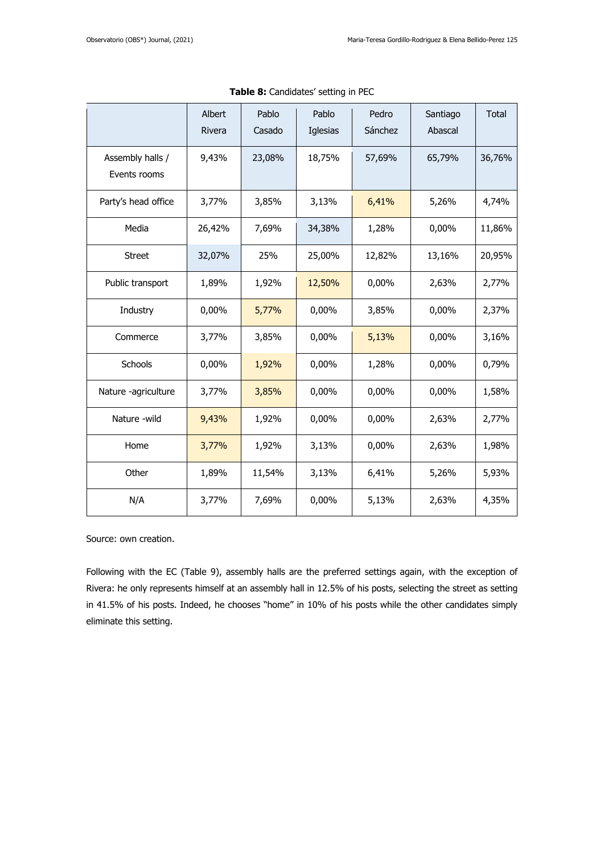|                                  | Albert<br>Rivera | Pablo<br>Casado | Pablo<br>Iglesias | Pedro<br>Sánchez | Santiago<br>Abascal | Total  |
|----------------------------------|------------------|-----------------|-------------------|------------------|---------------------|--------|
| Assembly halls /<br>Events rooms | 9,43%            | 23,08%          | 18,75%            | 57,69%           | 65,79%              | 36,76% |
| Party's head office              | 3,77%            | 3,85%           | 3,13%             | 6,41%            | 5,26%               | 4,74%  |
| Media                            | 26,42%           | 7,69%           | 34,38%            | 1,28%            | 0,00%               | 11,86% |
| <b>Street</b>                    | 32,07%           | 25%             | 25,00%            | 12,82%           | 13,16%              | 20,95% |
| Public transport                 | 1,89%            | 1,92%           | 12,50%            | 0,00%            | 2,63%               | 2,77%  |
| Industry                         | 0,00%            | 5,77%           | 0,00%             | 3,85%            | 0,00%               | 2,37%  |
| Commerce                         | 3,77%            | 3,85%           | 0,00%             | 5,13%            | 0,00%               | 3,16%  |
| Schools                          | 0,00%            | 1,92%           | 0,00%             | 1,28%            | 0,00%               | 0,79%  |
| Nature -agriculture              | 3,77%            | 3,85%           | 0,00%             | 0,00%            | 0,00%               | 1,58%  |
| Nature -wild                     | 9,43%            | 1,92%           | 0,00%             | 0,00%            | 2,63%               | 2,77%  |
| Home                             | 3,77%            | 1,92%           | 3,13%             | 0,00%            | 2,63%               | 1,98%  |
| Other                            | 1,89%            | 11,54%          | 3,13%             | 6,41%            | 5,26%               | 5,93%  |
| N/A                              | 3,77%            | 7,69%           | 0,00%             | 5,13%            | 2,63%               | 4,35%  |

**Table 8:** Candidates' setting in PEC

Following with the EC (Table 9), assembly halls are the preferred settings again, with the exception of Rivera: he only represents himself at an assembly hall in 12.5% of his posts, selecting the street as setting in 41.5% of his posts. Indeed, he chooses "home" in 10% of his posts while the other candidates simply eliminate this setting.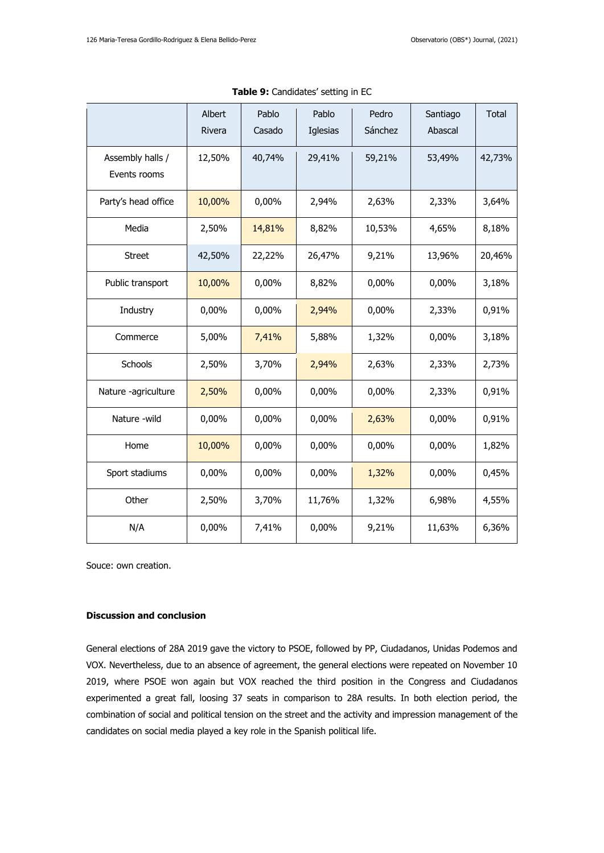|                                  | Albert<br>Rivera | Pablo<br>Casado | Pablo<br>Iglesias | Pedro<br>Sánchez | Santiago<br>Abascal | Total  |
|----------------------------------|------------------|-----------------|-------------------|------------------|---------------------|--------|
| Assembly halls /<br>Events rooms | 12,50%           | 40,74%          | 29,41%            | 59,21%           | 53,49%              | 42,73% |
| Party's head office              | 10,00%           | 0,00%           | 2,94%             | 2,63%            | 2,33%               | 3,64%  |
| Media                            | 2,50%            | 14,81%          | 8,82%             | 10,53%           | 4,65%               | 8,18%  |
| <b>Street</b>                    | 42,50%           | 22,22%          | 26,47%            | 9,21%            | 13,96%              | 20,46% |
| Public transport                 | 10,00%           | 0,00%           | 8,82%             | 0,00%            | 0,00%               | 3,18%  |
| Industry                         | 0,00%            | 0,00%           | 2,94%             | 0,00%            | 2,33%               | 0,91%  |
| Commerce                         | 5,00%            | 7,41%           | 5,88%             | 1,32%            | 0,00%               | 3,18%  |
| Schools                          | 2,50%            | 3,70%           | 2,94%             | 2,63%            | 2,33%               | 2,73%  |
| Nature -agriculture              | 2,50%            | 0,00%           | 0,00%             | 0,00%            | 2,33%               | 0,91%  |
| Nature -wild                     | 0,00%            | 0,00%           | 0,00%             | 2,63%            | 0,00%               | 0,91%  |
| Home                             | 10,00%           | 0,00%           | 0,00%             | 0,00%            | 0,00%               | 1,82%  |
| Sport stadiums                   | 0,00%            | 0,00%           | 0,00%             | 1,32%            | 0,00%               | 0,45%  |
| Other                            | 2,50%            | 3,70%           | 11,76%            | 1,32%            | 6,98%               | 4,55%  |
| N/A                              | 0,00%            | 7,41%           | 0,00%             | 9,21%            | 11,63%              | 6,36%  |

**Table 9:** Candidates' setting in EC

### **Discussion and conclusion**

General elections of 28A 2019 gave the victory to PSOE, followed by PP, Ciudadanos, Unidas Podemos and VOX. Nevertheless, due to an absence of agreement, the general elections were repeated on November 10 2019, where PSOE won again but VOX reached the third position in the Congress and Ciudadanos experimented a great fall, loosing 37 seats in comparison to 28A results. In both election period, the combination of social and political tension on the street and the activity and impression management of the candidates on social media played a key role in the Spanish political life.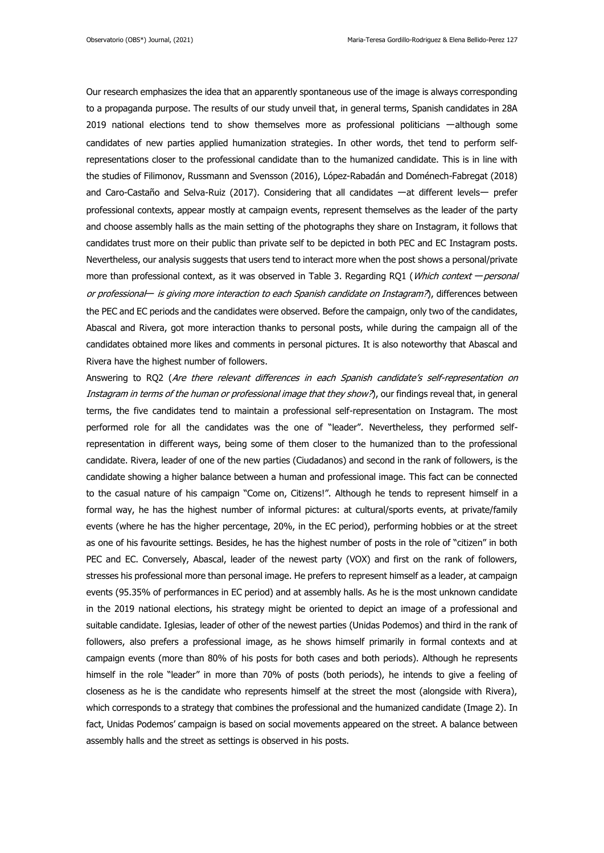Our research emphasizes the idea that an apparently spontaneous use of the image is always corresponding to a propaganda purpose. The results of our study unveil that, in general terms, Spanish candidates in 28A 2019 national elections tend to show themselves more as professional politicians ーalthough some candidates of new parties applied humanization strategies. In other words, thet tend to perform selfrepresentations closer to the professional candidate than to the humanized candidate. This is in line with the studies of Filimonov, Russmann and Svensson (2016), López-Rabadán and Doménech-Fabregat (2018) and Caro-Castaño and Selva-Ruiz (2017). Considering that all candidates ーat different levelsー prefer professional contexts, appear mostly at campaign events, represent themselves as the leader of the party and choose assembly halls as the main setting of the photographs they share on Instagram, it follows that candidates trust more on their public than private self to be depicted in both PEC and EC Instagram posts. Nevertheless, our analysis suggests that users tend to interact more when the post shows a personal/private more than professional context, as it was observed in Table 3. Regarding RQ1 (Which context – personal or professional— is giving more interaction to each Spanish candidate on Instagram?), differences between the PEC and EC periods and the candidates were observed. Before the campaign, only two of the candidates, Abascal and Rivera, got more interaction thanks to personal posts, while during the campaign all of the candidates obtained more likes and comments in personal pictures. It is also noteworthy that Abascal and Rivera have the highest number of followers.

Answering to RQ2 (Are there relevant differences in each Spanish candidate's self-representation on Instagram in terms of the human or professional image that they show?), our findings reveal that, in general terms, the five candidates tend to maintain a professional self-representation on Instagram. The most performed role for all the candidates was the one of "leader". Nevertheless, they performed selfrepresentation in different ways, being some of them closer to the humanized than to the professional candidate. Rivera, leader of one of the new parties (Ciudadanos) and second in the rank of followers, is the candidate showing a higher balance between a human and professional image. This fact can be connected to the casual nature of his campaign "Come on, Citizens!". Although he tends to represent himself in a formal way, he has the highest number of informal pictures: at cultural/sports events, at private/family events (where he has the higher percentage, 20%, in the EC period), performing hobbies or at the street as one of his favourite settings. Besides, he has the highest number of posts in the role of "citizen" in both PEC and EC. Conversely, Abascal, leader of the newest party (VOX) and first on the rank of followers, stresses his professional more than personal image. He prefers to represent himself as a leader, at campaign events (95.35% of performances in EC period) and at assembly halls. As he is the most unknown candidate in the 2019 national elections, his strategy might be oriented to depict an image of a professional and suitable candidate. Iglesias, leader of other of the newest parties (Unidas Podemos) and third in the rank of followers, also prefers a professional image, as he shows himself primarily in formal contexts and at campaign events (more than 80% of his posts for both cases and both periods). Although he represents himself in the role "leader" in more than 70% of posts (both periods), he intends to give a feeling of closeness as he is the candidate who represents himself at the street the most (alongside with Rivera), which corresponds to a strategy that combines the professional and the humanized candidate (Image 2). In fact, Unidas Podemos' campaign is based on social movements appeared on the street. A balance between assembly halls and the street as settings is observed in his posts.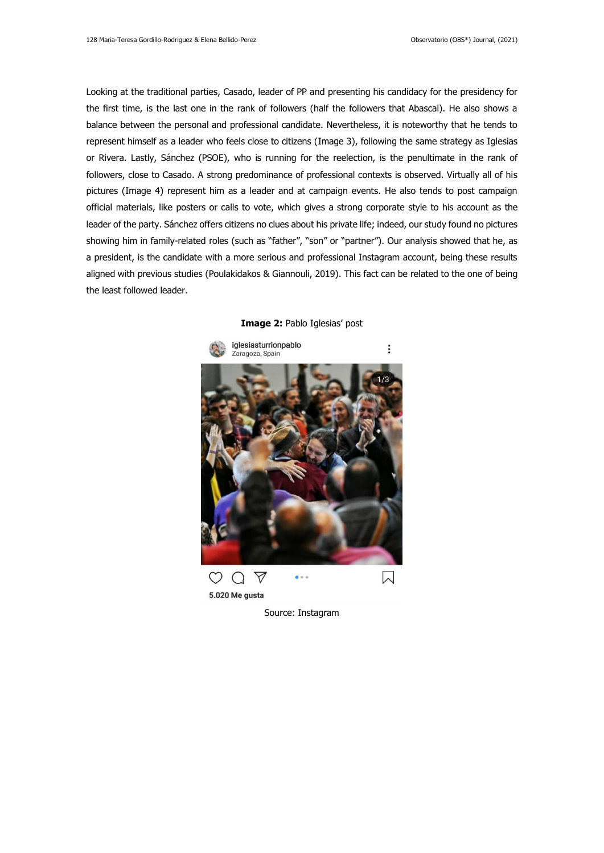Looking at the traditional parties, Casado, leader of PP and presenting his candidacy for the presidency for the first time, is the last one in the rank of followers (half the followers that Abascal). He also shows a balance between the personal and professional candidate. Nevertheless, it is noteworthy that he tends to represent himself as a leader who feels close to citizens (Image 3), following the same strategy as Iglesias or Rivera. Lastly, Sánchez (PSOE), who is running for the reelection, is the penultimate in the rank of followers, close to Casado. A strong predominance of professional contexts is observed. Virtually all of his pictures (Image 4) represent him as a leader and at campaign events. He also tends to post campaign official materials, like posters or calls to vote, which gives a strong corporate style to his account as the leader of the party. Sánchez offers citizens no clues about his private life; indeed, our study found no pictures showing him in family-related roles (such as "father", "son" or "partner"). Our analysis showed that he, as a president, is the candidate with a more serious and professional Instagram account, being these results aligned with previous studies (Poulakidakos & Giannouli, 2019). This fact can be related to the one of being the least followed leader.



**Image 2:** Pablo Iglesias' post

Source: Instagram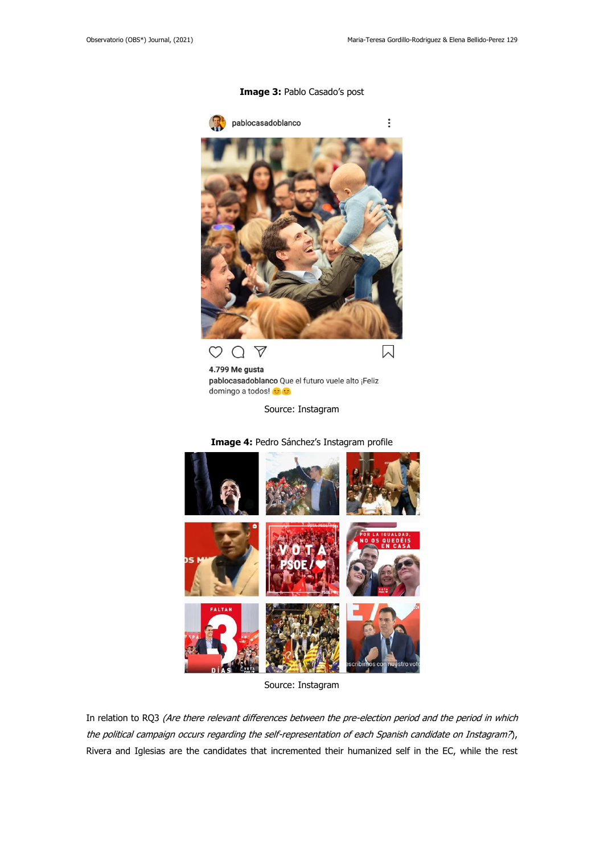### **Image 3:** Pablo Casado's post



4.799 Me gusta pablocasadoblanco Que el futuro vuele alto ¡Feliz domingo a todos! c

Source: Instagram



## **Image 4:** Pedro Sánchez's Instagram profile

Source: Instagram

In relation to RQ3 (Are there relevant differences between the pre-election period and the period in which the political campaign occurs regarding the self-representation of each Spanish candidate on Instagram?), Rivera and Iglesias are the candidates that incremented their humanized self in the EC, while the rest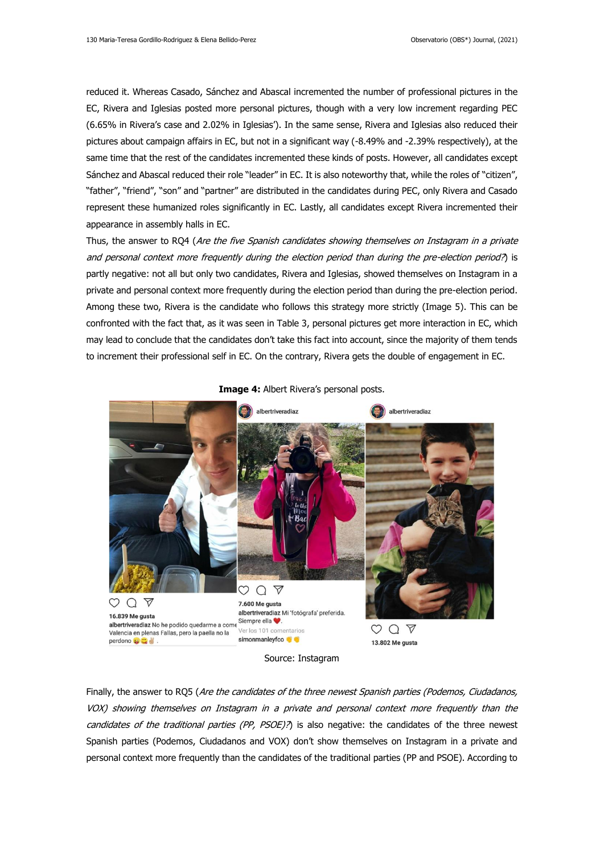reduced it. Whereas Casado, Sánchez and Abascal incremented the number of professional pictures in the EC, Rivera and Iglesias posted more personal pictures, though with a very low increment regarding PEC (6.65% in Rivera's case and 2.02% in Iglesias'). In the same sense, Rivera and Iglesias also reduced their pictures about campaign affairs in EC, but not in a significant way (-8.49% and -2.39% respectively), at the same time that the rest of the candidates incremented these kinds of posts. However, all candidates except Sánchez and Abascal reduced their role "leader" in EC. It is also noteworthy that, while the roles of "citizen", "father", "friend", "son" and "partner" are distributed in the candidates during PEC, only Rivera and Casado represent these humanized roles significantly in EC. Lastly, all candidates except Rivera incremented their appearance in assembly halls in EC.

Thus, the answer to RO4 (Are the five Spanish candidates showing themselves on Instagram in a private and personal context more frequently during the election period than during the pre-election period?) is partly negative: not all but only two candidates, Rivera and Iglesias, showed themselves on Instagram in a private and personal context more frequently during the election period than during the pre-election period. Among these two, Rivera is the candidate who follows this strategy more strictly (Image 5). This can be confronted with the fact that, as it was seen in Table 3, personal pictures get more interaction in EC, which may lead to conclude that the candidates don't take this fact into account, since the majority of them tends to increment their professional self in EC. On the contrary, Rivera gets the double of engagement in EC.



**Image 4:** Albert Rivera's personal posts.



Finally, the answer to RQ5 (Are the candidates of the three newest Spanish parties (Podemos, Ciudadanos, VOX) showing themselves on Instagram in a private and personal context more frequently than the candidates of the traditional parties (PP, PSOE)?) is also negative: the candidates of the three newest Spanish parties (Podemos, Ciudadanos and VOX) don't show themselves on Instagram in a private and personal context more frequently than the candidates of the traditional parties (PP and PSOE). According to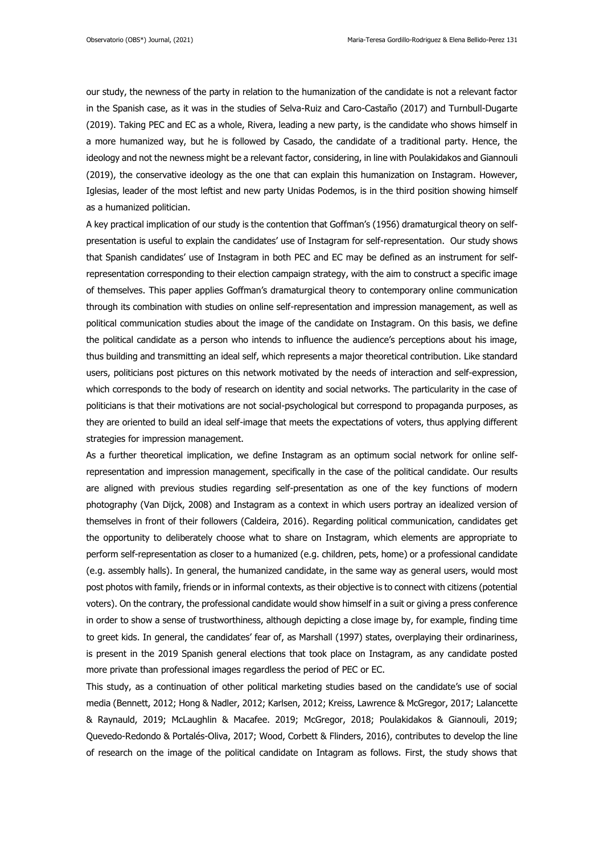our study, the newness of the party in relation to the humanization of the candidate is not a relevant factor in the Spanish case, as it was in the studies of Selva-Ruiz and Caro-Castaño (2017) and Turnbull-Dugarte (2019). Taking PEC and EC as a whole, Rivera, leading a new party, is the candidate who shows himself in a more humanized way, but he is followed by Casado, the candidate of a traditional party. Hence, the ideology and not the newness might be a relevant factor, considering, in line with Poulakidakos and Giannouli (2019), the conservative ideology as the one that can explain this humanization on Instagram. However, Iglesias, leader of the most leftist and new party Unidas Podemos, is in the third position showing himself as a humanized politician.

A key practical implication of our study is the contention that Goffman's (1956) dramaturgical theory on selfpresentation is useful to explain the candidates' use of Instagram for self-representation. Our study shows that Spanish candidates' use of Instagram in both PEC and EC may be defined as an instrument for selfrepresentation corresponding to their election campaign strategy, with the aim to construct a specific image of themselves. This paper applies Goffman's dramaturgical theory to contemporary online communication through its combination with studies on online self-representation and impression management, as well as political communication studies about the image of the candidate on Instagram. On this basis, we define the political candidate as a person who intends to influence the audience's perceptions about his image, thus building and transmitting an ideal self, which represents a major theoretical contribution. Like standard users, politicians post pictures on this network motivated by the needs of interaction and self-expression, which corresponds to the body of research on identity and social networks. The particularity in the case of politicians is that their motivations are not social-psychological but correspond to propaganda purposes, as they are oriented to build an ideal self-image that meets the expectations of voters, thus applying different strategies for impression management.

As a further theoretical implication, we define Instagram as an optimum social network for online selfrepresentation and impression management, specifically in the case of the political candidate. Our results are aligned with previous studies regarding self-presentation as one of the key functions of modern photography (Van Dijck, 2008) and Instagram as a context in which users portray an idealized version of themselves in front of their followers (Caldeira, 2016). Regarding political communication, candidates get the opportunity to deliberately choose what to share on Instagram, which elements are appropriate to perform self-representation as closer to a humanized (e.g. children, pets, home) or a professional candidate (e.g. assembly halls). In general, the humanized candidate, in the same way as general users, would most post photos with family, friends or in informal contexts, as their objective is to connect with citizens (potential voters). On the contrary, the professional candidate would show himself in a suit or giving a press conference in order to show a sense of trustworthiness, although depicting a close image by, for example, finding time to greet kids. In general, the candidates' fear of, as Marshall (1997) states, overplaying their ordinariness, is present in the 2019 Spanish general elections that took place on Instagram, as any candidate posted more private than professional images regardless the period of PEC or EC.

This study, as a continuation of other political marketing studies based on the candidate's use of social media (Bennett, 2012; Hong & Nadler, 2012; Karlsen, 2012; Kreiss, Lawrence & McGregor, 2017; Lalancette & Raynauld, 2019; McLaughlin & Macafee. 2019; McGregor, 2018; Poulakidakos & Giannouli, 2019; Quevedo-Redondo & Portalés-Oliva, 2017; Wood, Corbett & Flinders, 2016), contributes to develop the line of research on the image of the political candidate on Intagram as follows. First, the study shows that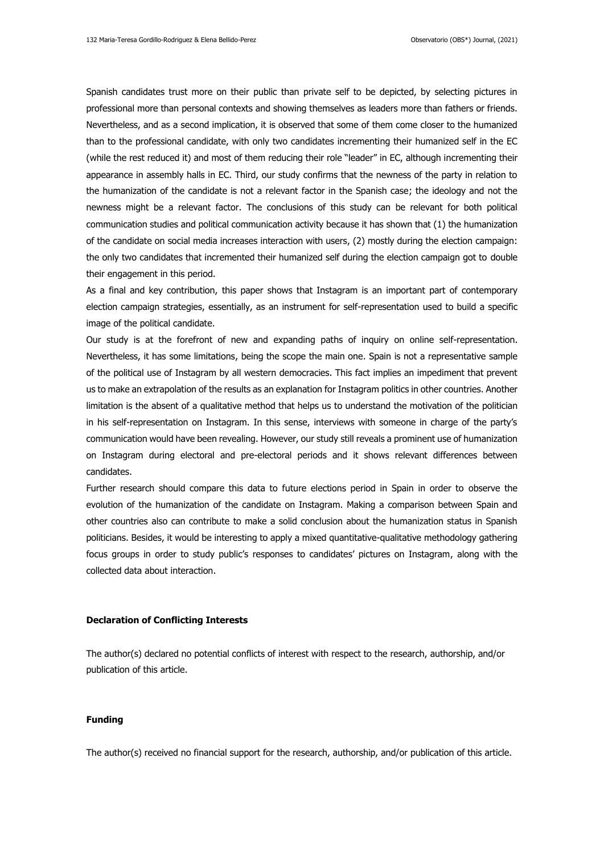Spanish candidates trust more on their public than private self to be depicted, by selecting pictures in professional more than personal contexts and showing themselves as leaders more than fathers or friends. Nevertheless, and as a second implication, it is observed that some of them come closer to the humanized than to the professional candidate, with only two candidates incrementing their humanized self in the EC (while the rest reduced it) and most of them reducing their role "leader" in EC, although incrementing their appearance in assembly halls in EC. Third, our study confirms that the newness of the party in relation to the humanization of the candidate is not a relevant factor in the Spanish case; the ideology and not the newness might be a relevant factor. The conclusions of this study can be relevant for both political communication studies and political communication activity because it has shown that (1) the humanization of the candidate on social media increases interaction with users, (2) mostly during the election campaign: the only two candidates that incremented their humanized self during the election campaign got to double their engagement in this period.

As a final and key contribution, this paper shows that Instagram is an important part of contemporary election campaign strategies, essentially, as an instrument for self-representation used to build a specific image of the political candidate.

Our study is at the forefront of new and expanding paths of inquiry on online self-representation. Nevertheless, it has some limitations, being the scope the main one. Spain is not a representative sample of the political use of Instagram by all western democracies. This fact implies an impediment that prevent us to make an extrapolation of the results as an explanation for Instagram politics in other countries. Another limitation is the absent of a qualitative method that helps us to understand the motivation of the politician in his self-representation on Instagram. In this sense, interviews with someone in charge of the party's communication would have been revealing. However, our study still reveals a prominent use of humanization on Instagram during electoral and pre-electoral periods and it shows relevant differences between candidates.

Further research should compare this data to future elections period in Spain in order to observe the evolution of the humanization of the candidate on Instagram. Making a comparison between Spain and other countries also can contribute to make a solid conclusion about the humanization status in Spanish politicians. Besides, it would be interesting to apply a mixed quantitative-qualitative methodology gathering focus groups in order to study public's responses to candidates' pictures on Instagram, along with the collected data about interaction.

### **Declaration of Conflicting Interests**

The author(s) declared no potential conflicts of interest with respect to the research, authorship, and/or publication of this article.

#### **Funding**

The author(s) received no financial support for the research, authorship, and/or publication of this article.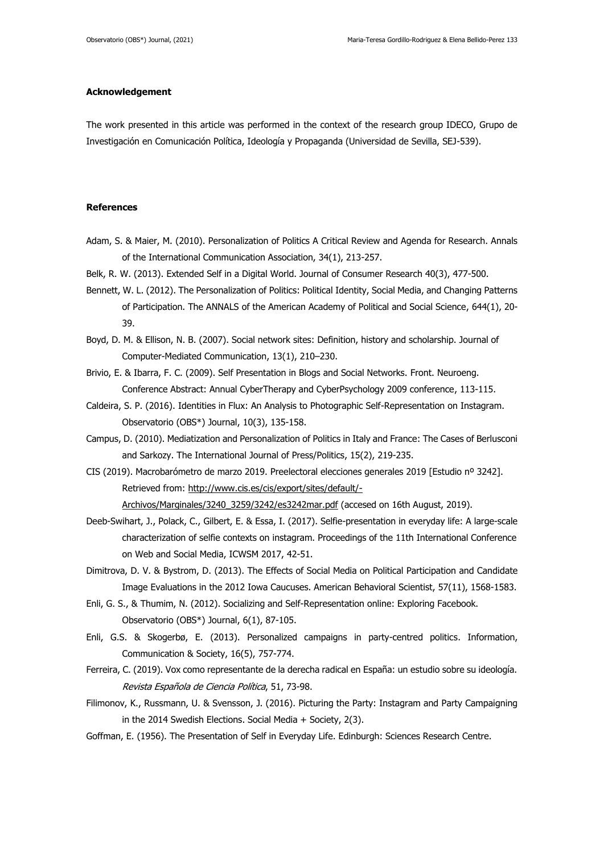### **Acknowledgement**

The work presented in this article was performed in the context of the research group IDECO, Grupo de Investigación en Comunicación Política, Ideología y Propaganda (Universidad de Sevilla, SEJ-539).

### **References**

- Adam, S. & Maier, M. (2010). Personalization of Politics A Critical Review and Agenda for Research. Annals of the International Communication Association, 34(1), 213-257.
- Belk, R. W. (2013). Extended Self in a Digital World. Journal of Consumer Research 40(3), 477-500.
- Bennett, W. L. (2012). The Personalization of Politics: Political Identity, Social Media, and Changing Patterns of Participation. The ANNALS of the American Academy of Political and Social Science, 644(1), 20- 39.
- Boyd, D. M. & Ellison, N. B. (2007). Social network sites: Definition, history and scholarship. Journal of Computer-Mediated Communication, 13(1), 210–230.
- Brivio, E. & Ibarra, F. C. (2009). Self Presentation in Blogs and Social Networks. Front. Neuroeng. Conference Abstract: Annual CyberTherapy and CyberPsychology 2009 conference, 113-115.
- Caldeira, S. P. (2016). Identities in Flux: An Analysis to Photographic Self-Representation on Instagram. Observatorio (OBS\*) Journal, 10(3), 135-158.
- Campus, D. (2010). Mediatization and Personalization of Politics in Italy and France: The Cases of Berlusconi and Sarkozy. The International Journal of Press/Politics, 15(2), 219-235.
- CIS (2019). Macrobarómetro de marzo 2019. Preelectoral elecciones generales 2019 [Estudio nº 3242]. Retrieved from: [http://www.cis.es/cis/export/sites/default/-](http://www.cis.es/cis/export/sites/default/-Archivos/Marginales/3240_3259/3242/es3242mar.pdf)

[Archivos/Marginales/3240\\_3259/3242/es3242mar.pdf](http://www.cis.es/cis/export/sites/default/-Archivos/Marginales/3240_3259/3242/es3242mar.pdf) (accesed on 16th August, 2019).

- Deeb-Swihart, J., Polack, C., Gilbert, E. & Essa, I. (2017). Selfie-presentation in everyday life: A large-scale characterization of selfie contexts on instagram. Proceedings of the 11th International Conference on Web and Social Media, ICWSM 2017, 42-51.
- Dimitrova, D. V. & Bystrom, D. (2013). The Effects of Social Media on Political Participation and Candidate Image Evaluations in the 2012 Iowa Caucuses. American Behavioral Scientist, 57(11), 1568-1583.
- Enli, G. S., & Thumim, N. (2012). Socializing and Self-Representation online: Exploring Facebook. Observatorio (OBS\*) Journal, 6(1), 87-105.
- Enli, G.S. & Skogerbø, E. (2013). Personalized campaigns in party-centred politics. Information, Communication & Society, 16(5), 757-774.
- Ferreira, C. (2019). Vox como representante de la derecha radical en España: un estudio sobre su ideología. Revista Española de Ciencia Política, 51, 73-98.
- Filimonov, K., Russmann, U. & Svensson, J. (2016). Picturing the Party: Instagram and Party Campaigning in the 2014 Swedish Elections. Social Media + Society, 2(3).
- Goffman, E. (1956). The Presentation of Self in Everyday Life. Edinburgh: Sciences Research Centre.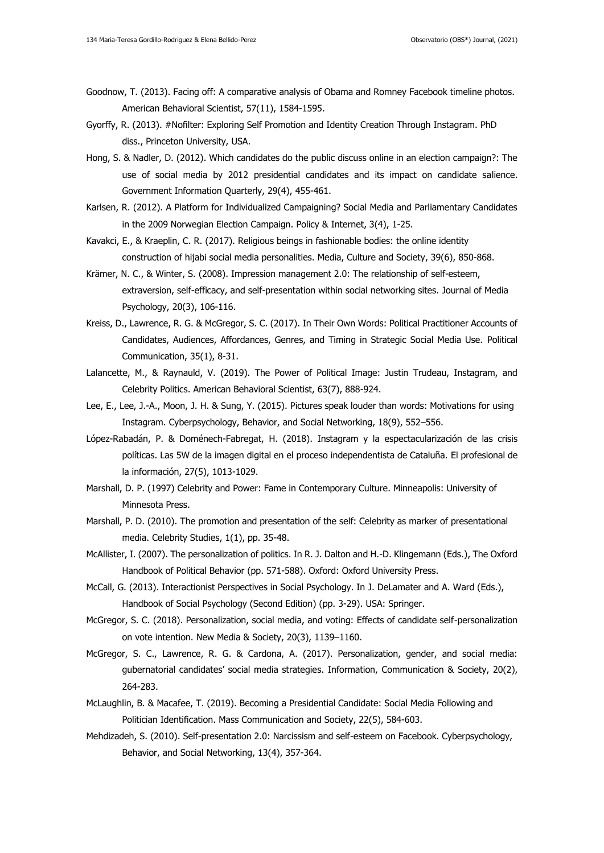- Goodnow, T. (2013). Facing off: A comparative analysis of Obama and Romney Facebook timeline photos. American Behavioral Scientist, 57(11), 1584-1595.
- Gyorffy, R. (2013). #Nofilter: Exploring Self Promotion and Identity Creation Through Instagram. PhD diss., Princeton University, USA.
- Hong, S. & Nadler, D. (2012). Which candidates do the public discuss online in an election campaign?: The use of social media by 2012 presidential candidates and its impact on candidate salience. Government Information Quarterly, 29(4), 455-461.
- Karlsen, R. (2012). A Platform for Individualized Campaigning? Social Media and Parliamentary Candidates in the 2009 Norwegian Election Campaign. Policy & Internet, 3(4), 1-25.
- Kavakci, E., & Kraeplin, C. R. (2017). Religious beings in fashionable bodies: the online identity construction of hijabi social media personalities. Media, Culture and Society, 39(6), 850-868.
- Krämer, N. C., & Winter, S. (2008). Impression management 2.0: The relationship of self-esteem, extraversion, self-efficacy, and self-presentation within social networking sites. Journal of Media Psychology, 20(3), 106-116.
- Kreiss, D., Lawrence, R. G. & McGregor, S. C. (2017). In Their Own Words: Political Practitioner Accounts of Candidates, Audiences, Affordances, Genres, and Timing in Strategic Social Media Use. Political Communication, 35(1), 8-31.
- Lalancette, M., & Raynauld, V. (2019). The Power of Political Image: Justin Trudeau, Instagram, and Celebrity Politics. American Behavioral Scientist, 63(7), 888-924.
- Lee, E., Lee, J.-A., Moon, J. H. & Sung, Y. (2015). Pictures speak louder than words: Motivations for using Instagram. Cyberpsychology, Behavior, and Social Networking, 18(9), 552–556.
- López-Rabadán, P. & Doménech-Fabregat, H. (2018). Instagram y la espectacularización de las crisis políticas. Las 5W de la imagen digital en el proceso independentista de Cataluña. El profesional de la información, 27(5), 1013-1029.
- Marshall, D. P. (1997) Celebrity and Power: Fame in Contemporary Culture. Minneapolis: University of Minnesota Press.
- Marshall, P. D. (2010). The promotion and presentation of the self: Celebrity as marker of presentational media. Celebrity Studies, 1(1), pp. 35-48.
- McAllister, I. (2007). The personalization of politics. In R. J. Dalton and H.‐D. Klingemann (Eds.), The Oxford Handbook of Political Behavior (pp. 571-588). Oxford: Oxford University Press.
- McCall, G. (2013). Interactionist Perspectives in Social Psychology. In J. DeLamater and A. Ward (Eds.), Handbook of Social Psychology (Second Edition) (pp. 3-29). USA: Springer.
- McGregor, S. C. (2018). Personalization, social media, and voting: Effects of candidate self-personalization on vote intention. New Media & Society, 20(3), 1139–1160.
- McGregor, S. C., Lawrence, R. G. & Cardona, A. (2017). Personalization, gender, and social media: gubernatorial candidates' social media strategies. Information, Communication & Society, 20(2), 264-283.
- McLaughlin, B. & Macafee, T. (2019). Becoming a Presidential Candidate: Social Media Following and Politician Identification. Mass Communication and Society, 22(5), 584-603.
- Mehdizadeh, S. (2010). Self-presentation 2.0: Narcissism and self-esteem on Facebook. Cyberpsychology, Behavior, and Social Networking, 13(4), 357-364.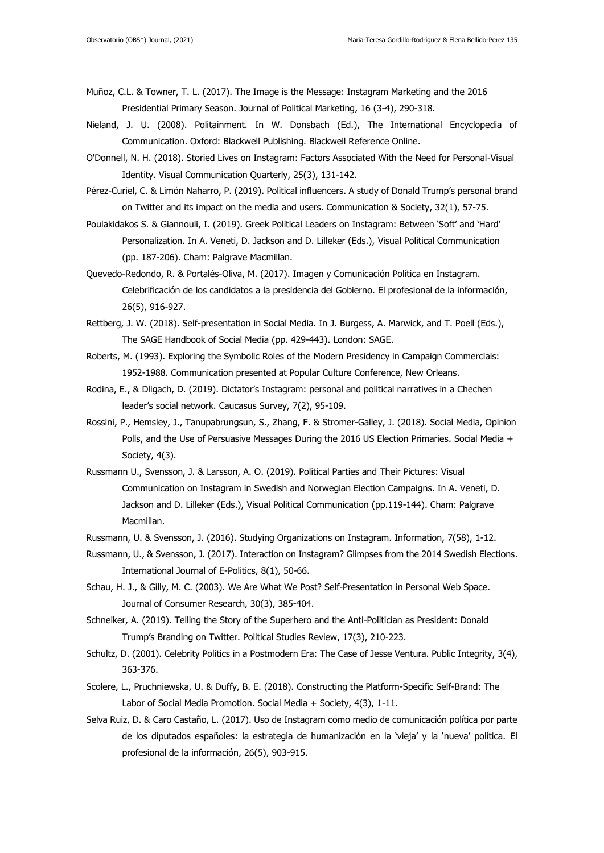- Muñoz, C.L. & Towner, T. L. (2017). The Image is the Message: Instagram Marketing and the 2016 Presidential Primary Season. Journal of Political Marketing, 16 (3-4), 290-318.
- Nieland, J. U. (2008). Politainment. In W. Donsbach (Ed.), The International Encyclopedia of Communication. Oxford: Blackwell Publishing. Blackwell Reference Online.
- O'Donnell, N. H. (2018). Storied Lives on Instagram: Factors Associated With the Need for Personal-Visual Identity. Visual Communication Quarterly, 25(3), 131-142.
- Pérez-Curiel, C. & Limón Naharro, P. (2019). Political influencers. A study of Donald Trump's personal brand on Twitter and its impact on the media and users. Communication & Society, 32(1), 57-75.
- Poulakidakos S. & Giannouli, I. (2019). Greek Political Leaders on Instagram: Between 'Soft' and 'Hard' Personalization. In A. Veneti, D. Jackson and D. Lilleker (Eds.), Visual Political Communication (pp. 187-206). Cham: Palgrave Macmillan.
- Quevedo-Redondo, R. & Portalés-Oliva, M. (2017). Imagen y Comunicación Política en Instagram. Celebrificación de los candidatos a la presidencia del Gobierno. El profesional de la información, 26(5), 916-927.
- Rettberg, J. W. (2018). Self-presentation in Social Media. In J. Burgess, A. Marwick, and T. Poell (Eds.), The SAGE Handbook of Social Media (pp. 429-443). London: SAGE.
- Roberts, M. (1993). Exploring the Symbolic Roles of the Modern Presidency in Campaign Commercials: 1952-1988. Communication presented at Popular Culture Conference, New Orleans.
- Rodina, E., & Dligach, D. (2019). Dictator's Instagram: personal and political narratives in a Chechen leader's social network. Caucasus Survey, 7(2), 95-109.
- Rossini, P., Hemsley, J., Tanupabrungsun, S., Zhang, F. & Stromer-Galley, J. (2018). Social Media, Opinion Polls, and the Use of Persuasive Messages During the 2016 US Election Primaries. Social Media + Society, 4(3).
- Russmann U., Svensson, J. & Larsson, A. O. (2019). Political Parties and Their Pictures: Visual Communication on Instagram in Swedish and Norwegian Election Campaigns. In A. Veneti, D. Jackson and D. Lilleker (Eds.), Visual Political Communication (pp.119-144). Cham: Palgrave Macmillan.
- Russmann, U. & Svensson, J. (2016). Studying Organizations on Instagram. Information, 7(58), 1-12.
- Russmann, U., & Svensson, J. (2017). Interaction on Instagram? Glimpses from the 2014 Swedish Elections. International Journal of E-Politics, 8(1), 50-66.
- Schau, H. J., & Gilly, M. C. (2003). We Are What We Post? Self-Presentation in Personal Web Space. Journal of Consumer Research, 30(3), 385-404.
- Schneiker, A. (2019). Telling the Story of the Superhero and the Anti-Politician as President: Donald Trump's Branding on Twitter. Political Studies Review, 17(3), 210-223.
- Schultz, D. (2001). Celebrity Politics in a Postmodern Era: The Case of Jesse Ventura. Public Integrity, 3(4), 363-376.
- Scolere, L., Pruchniewska, U. & Duffy, B. E. (2018). Constructing the Platform-Specific Self-Brand: The Labor of Social Media Promotion. Social Media + Society, 4(3), 1-11.
- Selva Ruiz, D. & Caro Castaño, L. (2017). Uso de Instagram como medio de comunicación política por parte de los diputados españoles: la estrategia de humanización en la 'vieja' y la 'nueva' política. El profesional de la información, 26(5), 903-915.